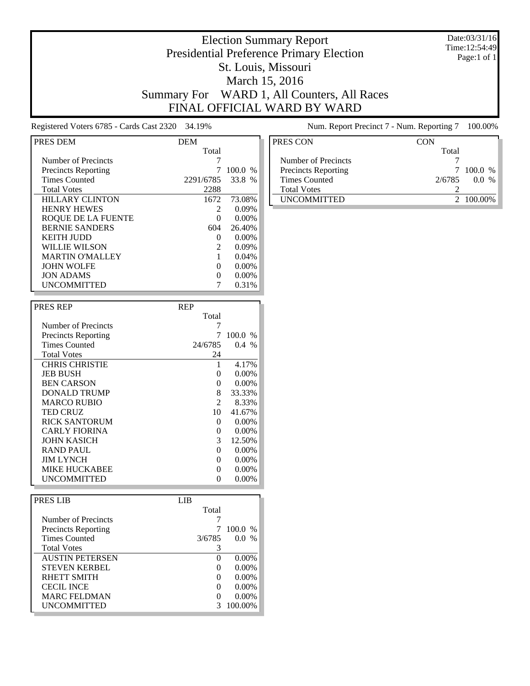#### Date:03/31/16 Time:12:54:49 Page:1 of 1

### Election Summary Report Presidential Preference Primary Election St. Louis, Missouri March 15, 2016 Summary For WARD 1, All Counters, All Races FINAL OFFICIAL WARD BY WARD

Registered Voters 6785 - Cards Cast 2320 34.19% Num. Report Precinct 7 - Num. Reporting 7 100.00%

| PRES DEM                   | <b>DEM</b>   |               |
|----------------------------|--------------|---------------|
|                            | Total        |               |
| Number of Precincts        |              |               |
| <b>Precincts Reporting</b> |              | 100.0<br>$\%$ |
| <b>Times Counted</b>       | 2291/6785    | 33.8<br>$\%$  |
| <b>Total Votes</b>         | 2288         |               |
| <b>HILLARY CLINTON</b>     | 1672         | 73.08%        |
| <b>HENRY HEWES</b>         |              | $0.09\%$      |
| ROOUE DE LA FUENTE         |              | 0.00%         |
| <b>BERNIE SANDERS</b>      | 604          | 26.40%        |
| <b>KEITH JUDD</b>          | $\mathbf{0}$ | $0.00\%$      |
| WILLIE WILSON              |              | $0.09\%$      |
| <b>MARTIN O'MALLEY</b>     |              | 0.04%         |
| <b>JOHN WOLFE</b>          | $\mathbf{0}$ | $0.00\%$      |
| <b>JON ADAMS</b>           |              | $0.00\%$      |
| <b>UNCOMMITTED</b>         |              | 0.31%         |

| <b>PRES REP</b>            | <b>REP</b> |          |
|----------------------------|------------|----------|
|                            | Total      |          |
| Number of Precincts        |            |          |
| <b>Precincts Reporting</b> | 7          | 100.0%   |
| <b>Times Counted</b>       | 24/6785    | $0.4\%$  |
| <b>Total Votes</b>         | 24         |          |
| <b>CHRIS CHRISTIE</b>      |            | 4.17%    |
| <b>JEB BUSH</b>            | 0          | $0.00\%$ |
| <b>BEN CARSON</b>          | 0          | $0.00\%$ |
| DONALD TRUMP               | 8          | 33.33%   |
| <b>MARCO RUBIO</b>         | 2          | 8.33%    |
| <b>TED CRUZ</b>            | 10         | 41.67%   |
| <b>RICK SANTORUM</b>       | 0          | $0.00\%$ |
| <b>CARLY FIORINA</b>       | 0          | $0.00\%$ |
| JOHN KASICH                | 3          | 12.50%   |
| RAND PAUL                  | 0          | $0.00\%$ |
| <b>JIM LYNCH</b>           | 0          | $0.00\%$ |
| MIKE HUCKABEE              | 0          | $0.00\%$ |
| UNCOMMITTED                | $_{0}$     | $0.00\%$ |

| PRES LIB                   | LIB.              |           |
|----------------------------|-------------------|-----------|
|                            | Total             |           |
| Number of Precincts        |                   |           |
| <b>Precincts Reporting</b> |                   | $100.0\%$ |
| <b>Times Counted</b>       | 3/6785            | $0.0\%$   |
| <b>Total Votes</b>         | 3                 |           |
| <b>AUSTIN PETERSEN</b>     | $\Omega$          | $0.00\%$  |
| <b>STEVEN KERBEL</b>       | $\mathbf{\Omega}$ | $0.00\%$  |
| <b>RHETT SMITH</b>         | $\Omega$          | $0.00\%$  |
| <b>CECIL INCE</b>          | $\Omega$          | $0.00\%$  |
| <b>MARC FELDMAN</b>        |                   | $0.00\%$  |
| <b>UNCOMMITTED</b>         |                   | 100.00%   |

| PRES CON                   | CON    |           |
|----------------------------|--------|-----------|
|                            | Total  |           |
| Number of Precincts        |        |           |
| <b>Precincts Reporting</b> | 7      | $100.0\%$ |
| <b>Times Counted</b>       | 2/6785 | 00 %      |
| <b>Total Votes</b>         |        |           |
| <b>UNCOMMITTED</b>         |        | 2 100.00% |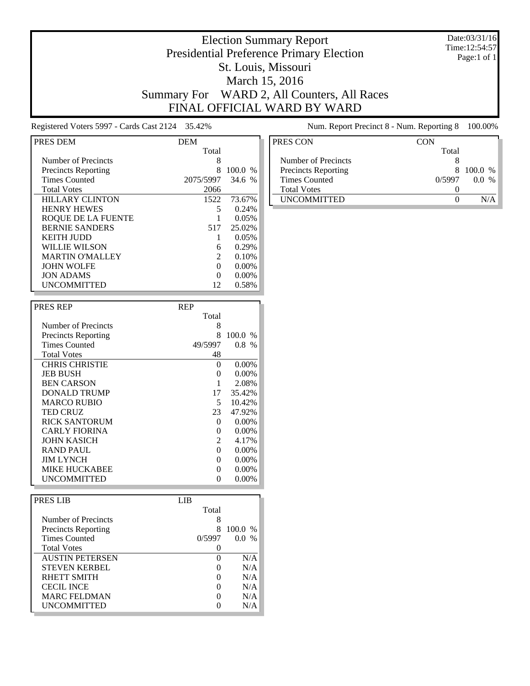#### Date:03/31/16 Time:12:54:57 Page:1 of 1

### Election Summary Report Presidential Preference Primary Election St. Louis, Missouri March 15, 2016 Summary For WARD 2, All Counters, All Races FINAL OFFICIAL WARD BY WARD

Registered Voters 5997 - Cards Cast 2124 35.42% Num. Report Precinct 8 - Num. Reporting 8 100.00%

| PRES DEM                   | <b>DEM</b>                  |                        |
|----------------------------|-----------------------------|------------------------|
|                            | Total                       |                        |
| Number of Precincts        | 8                           |                        |
| <b>Precincts Reporting</b> | 8                           | 100.0<br>$\frac{0}{6}$ |
| <b>Times Counted</b>       | 2075/5997                   | 34.6 %                 |
| <b>Total Votes</b>         | 2066                        |                        |
| <b>HILLARY CLINTON</b>     | 1522                        | 73.67%                 |
| <b>HENRY HEWES</b>         | 5                           | 0.24%                  |
| ROOUE DE LA FUENTE         |                             | 0.05%                  |
| <b>BERNIE SANDERS</b>      | 517                         | 25.02%                 |
| KEITH IUDD                 |                             | 0.05%                  |
| WILLIE WILSON              | 6                           | 0.29%                  |
| <b>MARTIN O'MALLEY</b>     | $\mathcal{D}_{\mathcal{L}}$ | 0.10%                  |
| <b>JOHN WOLFE</b>          | 0                           | $0.00\%$               |
| <b>JON ADAMS</b>           | $\Omega$                    | $0.00\%$               |
| <b>UNCOMMITTED</b>         | 12                          | 0.58%                  |

| <b>PRES REP</b>            | <b>REP</b> |          |
|----------------------------|------------|----------|
|                            | Total      |          |
| Number of Precincts        | 8          |          |
| <b>Precincts Reporting</b> | 8          | 100.0%   |
| <b>Times Counted</b>       | 49/5997    | $0.8\%$  |
| <b>Total Votes</b>         | 48         |          |
| <b>CHRIS CHRISTIE</b>      | $\Omega$   | 0.00%    |
| <b>JEB BUSH</b>            | 0          | 0.00%    |
| <b>BEN CARSON</b>          |            | 2.08%    |
| DONALD TRUMP               | 17         | 35.42%   |
| <b>MARCO RUBIO</b>         | 5          | 10.42%   |
| <b>TED CRUZ</b>            | 23         | 47.92%   |
| <b>RICK SANTORUM</b>       | 0          | 0.00%    |
| <b>CARLY FIORINA</b>       | 0          | 0.00%    |
| <b>JOHN KASICH</b>         | 2          | 4.17%    |
| RAND PAUL                  | $\Omega$   | 0.00%    |
| <b>JIM LYNCH</b>           | $\Omega$   | 0.00%    |
| MIKE HUCKABEE              | 0          | $0.00\%$ |
| UNCOMMITTED                | 0          | $0.00\%$ |

| PRES LIB                   | LIB    |           |
|----------------------------|--------|-----------|
|                            | Total  |           |
| Number of Precincts        | 8      |           |
| <b>Precincts Reporting</b> | 8      | $100.0\%$ |
| <b>Times Counted</b>       | 0/5997 | $0.0\%$   |
| <b>Total Votes</b>         |        |           |
| <b>AUSTIN PETERSEN</b>     |        | N/A       |
| <b>STEVEN KERBEL</b>       |        | N/A       |
| RHETT SMITH                |        | N/A       |
| <b>CECIL INCE</b>          |        | N/A       |
| <b>MARC FELDMAN</b>        |        | N/A       |
| <b>UNCOMMITTED</b>         |        | N/A       |

| CON    |           |
|--------|-----------|
| Total  |           |
|        |           |
|        | 8 100.0 % |
| 0/5997 | 00 %      |
|        |           |
|        |           |
|        |           |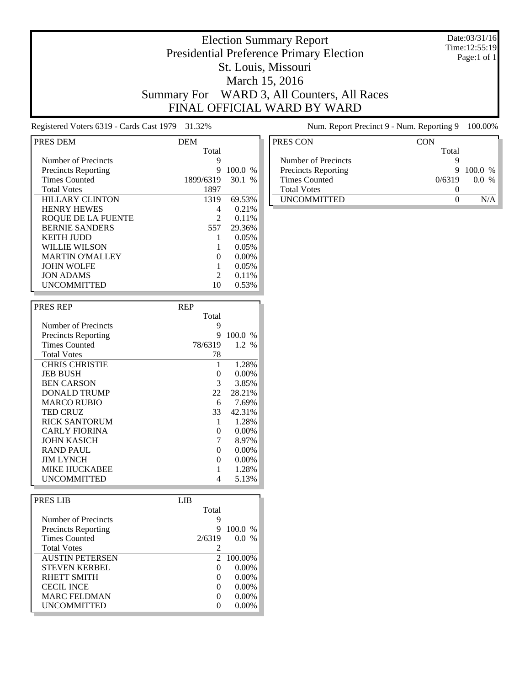#### Date:03/31/16 Time:12:55:19 Page:1 of 1

### Election Summary Report Presidential Preference Primary Election St. Louis, Missouri March 15, 2016 Summary For WARD 3, All Counters, All Races FINAL OFFICIAL WARD BY WARD

Registered Voters 6319 - Cards Cast 1979 31.32% Num. Report Precinct 9 - Num. Reporting 9 100.00%

| PRES DEM                   | <b>DEM</b>        |                        |
|----------------------------|-------------------|------------------------|
|                            | Total             |                        |
| Number of Precincts        | 9                 |                        |
| <b>Precincts Reporting</b> | 9                 | 100.0<br>$\frac{0}{6}$ |
| <b>Times Counted</b>       | 1899/6319         | 30.1<br>$\%$           |
| <b>Total Votes</b>         | 1897              |                        |
| <b>HILLARY CLINTON</b>     | 1319              | 69.53%                 |
| <b>HENRY HEWES</b>         | 4                 | 0.21%                  |
| <b>ROQUE DE LA FUENTE</b>  | 2                 | 0.11%                  |
| <b>BERNIE SANDERS</b>      | 557               | 29.36%                 |
| <b>KEITH JUDD</b>          |                   | 0.05%                  |
| WILLIE WILSON              |                   | 0.05%                  |
| <b>MARTIN O'MALLEY</b>     | $\mathbf{\Omega}$ | $0.00\%$               |
| <b>JOHN WOLFE</b>          |                   | 0.05%                  |
| <b>JON ADAMS</b>           | $\mathfrak{D}$    | 0.11%                  |
| <b>UNCOMMITTED</b>         | 10                | 0.53%                  |

| <b>PRES REP</b>            | <b>REP</b> |            |
|----------------------------|------------|------------|
|                            | Total      |            |
| Number of Precincts        | 9          |            |
| <b>Precincts Reporting</b> | 9          | 100.0%     |
| <b>Times Counted</b>       | 78/6319    | $1.2 \, %$ |
| <b>Total Votes</b>         | 78         |            |
| <b>CHRIS CHRISTIE</b>      |            | 1.28%      |
| <b>JEB BUSH</b>            | 0          | $0.00\%$   |
| <b>BEN CARSON</b>          | 3          | 3.85%      |
| DONALD TRUMP               | 22         | 28.21%     |
| <b>MARCO RUBIO</b>         | 6          | 7.69%      |
| <b>TED CRUZ</b>            | 33         | 42.31%     |
| <b>RICK SANTORUM</b>       | 1          | 1.28%      |
| <b>CARLY FIORINA</b>       | 0          | 0.00%      |
| JOHN KASICH                | 7          | 8.97%      |
| RAND PAUL                  | 0          | 0.00%      |
| <b>JIM LYNCH</b>           | 0          | 0.00%      |
| MIKE HUCKABEE              |            | 1.28%      |
| UNCOMMITTED                | 4          | 5.13%      |

| PRES LIB                   | LIB.     |           |
|----------------------------|----------|-----------|
|                            | Total    |           |
| Number of Precincts        | 9        |           |
| <b>Precincts Reporting</b> | 9        | 100.0 %   |
| <b>Times Counted</b>       | 2/6319   | $0.0\%$   |
| <b>Total Votes</b>         |          |           |
| <b>AUSTIN PETERSEN</b>     |          | 2 100.00% |
| <b>STEVEN KERBEL</b>       | $\Omega$ | $0.00\%$  |
| <b>RHETT SMITH</b>         | $\Omega$ | $0.00\%$  |
| <b>CECIL INCE</b>          | $\Omega$ | $0.00\%$  |
| <b>MARC FELDMAN</b>        | $\Omega$ | $0.00\%$  |
| <b>UNCOMMITTED</b>         |          | $0.00\%$  |

| PRES CON                   | CON    |         |
|----------------------------|--------|---------|
|                            | Total  |         |
| Number of Precincts        |        |         |
| <b>Precincts Reporting</b> | 9      | 100.0 % |
| <b>Times Counted</b>       | 0/6319 | 00 %    |
| <b>Total Votes</b>         |        |         |
| <b>IINCOMMITTED</b>        |        |         |
|                            |        |         |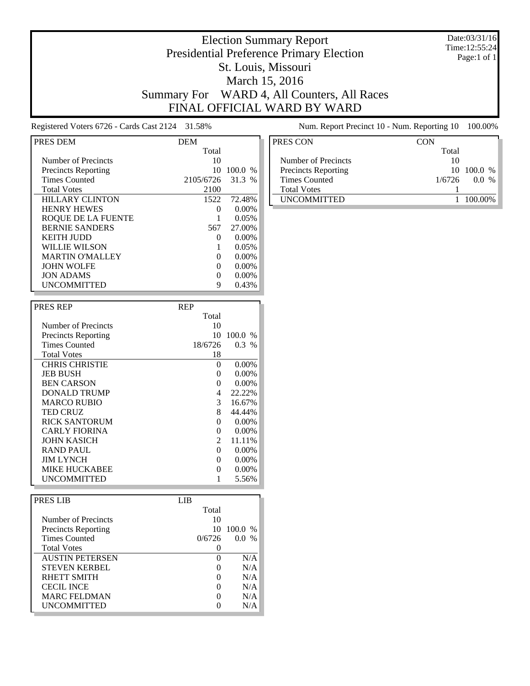#### Date:03/31/16 Time:12:55:24 Page:1 of 1

### Presidential Preference Primary Election St. Louis, Missouri March 15, 2016 Summary For WARD 4, All Counters, All Races FINAL OFFICIAL WARD BY WARD

Election Summary Report

Registered Voters 6726 - Cards Cast 2124 31.58% Num. Report Precinct 10 - Num. Reporting 10 100.00%

| PRES DEM                   | DEM       |           |
|----------------------------|-----------|-----------|
|                            | Total     |           |
| Number of Precincts        | 10        |           |
| <b>Precincts Reporting</b> | 10        | $100.0\%$ |
| <b>Times Counted</b>       | 2105/6726 | 31.3 %    |
| <b>Total Votes</b>         | 2100      |           |
| <b>HILLARY CLINTON</b>     | 1522      | 72.48%    |
| <b>HENRY HEWES</b>         | $\Omega$  | $0.00\%$  |
| ROOUE DE LA FUENTE         |           | 0.05%     |
| <b>BERNIE SANDERS</b>      | 567       | 27.00%    |
| KEITH IUDD                 | $\Omega$  | $0.00\%$  |
| WILLIE WILSON              |           | 0.05%     |
| <b>MARTIN O'MALLEY</b>     | $\Omega$  | $0.00\%$  |
| <b>JOHN WOLFE</b>          | $\Omega$  | $0.00\%$  |
| <b>JON ADAMS</b>           |           | $0.00\%$  |
| <b>UNCOMMITTED</b>         | 9         | 0.43%     |

| <b>PRES REP</b>            | <b>REP</b> |          |
|----------------------------|------------|----------|
|                            | Total      |          |
| Number of Precincts        | 10         |          |
| <b>Precincts Reporting</b> | 10         | 100.0%   |
| <b>Times Counted</b>       | 18/6726    | $0.3\%$  |
| <b>Total Votes</b>         | 18         |          |
| <b>CHRIS CHRISTIE</b>      | 0          | $0.00\%$ |
| <b>JEB BUSH</b>            | 0          | $0.00\%$ |
| <b>BEN CARSON</b>          | 0          | $0.00\%$ |
| DONALD TRUMP               | 4          | 22.22%   |
| <b>MARCO RUBIO</b>         | 3          | 16.67%   |
| <b>TED CRUZ</b>            | 8          | 44.44%   |
| RICK SANTORUM              | 0          | 0.00%    |
| <b>CARLY FIORINA</b>       | 0          | $0.00\%$ |
| <b>JOHN KASICH</b>         | 2          | 11.11%   |
| RAND PAUL                  | 0          | $0.00\%$ |
| <b>IIM LYNCH</b>           | 0          | 0.00%    |
| <b>MIKE HUCKABEE</b>       | 0          | $0.00\%$ |
| <b>UNCOMMITTED</b>         |            | 5.56%    |
|                            |            |          |

| Total  |         |
|--------|---------|
| 10     |         |
| 10     | 100.0 % |
| 0/6726 | $0.0\%$ |
|        |         |
|        | N/A     |
|        | N/A     |
|        | N/A     |
|        | N/A     |
|        | N/A     |
|        | N/A     |
|        |         |

| PRES CON                   | CON    |             |
|----------------------------|--------|-------------|
|                            | Total  |             |
| Number of Precincts        | 10     |             |
| <b>Precincts Reporting</b> |        | 10, 100.0 % |
| <b>Times Counted</b>       | 1/6726 | $\%$<br>00  |
| <b>Total Votes</b>         |        |             |
| <b>UNCOMMITTED</b>         |        | 100.00%     |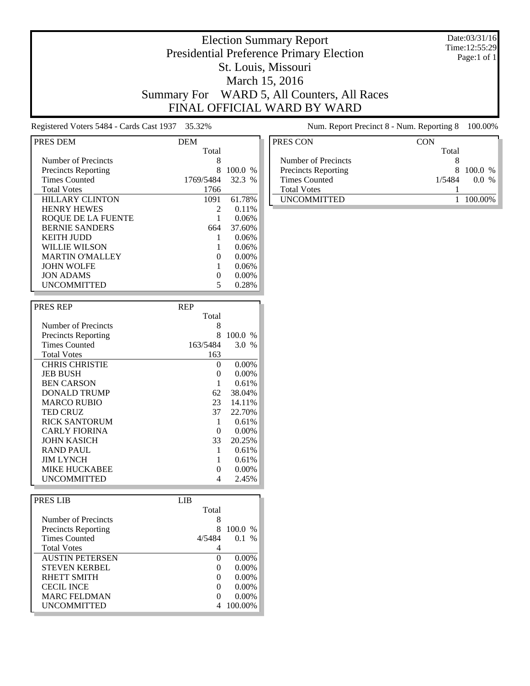#### Date:03/31/16 Time:12:55:29 Page:1 of 1

### Presidential Preference Primary Election St. Louis, Missouri March 15, 2016 Summary For WARD 5, All Counters, All Races FINAL OFFICIAL WARD BY WARD

Election Summary Report

Registered Voters 5484 - Cards Cast 1937 35.32% Num. Report Precinct 8 - Num. Reporting 8 100.00%

| PRES DEM                   | <b>DEM</b>     |               |
|----------------------------|----------------|---------------|
|                            | Total          |               |
| Number of Precincts        | 8              |               |
| <b>Precincts Reporting</b> |                | 100.0<br>$\%$ |
| <b>Times Counted</b>       | 1769/5484      | 32.3 %        |
| <b>Total Votes</b>         | 1766           |               |
| <b>HILLARY CLINTON</b>     | 1091           | 61.78%        |
| <b>HENRY HEWES</b>         | $\mathfrak{D}$ | 0.11%         |
| ROOUE DE LA FUENTE         |                | 0.06%         |
| <b>BERNIE SANDERS</b>      | 664            | 37.60%        |
| KEITH IUDD                 |                | 0.06%         |
| <b>WILLIE WILSON</b>       |                | 0.06%         |
| <b>MARTIN O'MALLEY</b>     | $\mathbf{0}$   | 0.00%         |
| <b>JOHN WOLFE</b>          |                | 0.06%         |
| <b>JON ADAMS</b>           |                | 0.00%         |
| <b>UNCOMMITTED</b>         |                | 0.28%         |

| <b>PRES REP</b>            | <b>REP</b> |          |
|----------------------------|------------|----------|
|                            | Total      |          |
| Number of Precincts        | 8          |          |
| <b>Precincts Reporting</b> | 8          | 100.0%   |
| <b>Times Counted</b>       | 163/5484   | 3.0 %    |
| <b>Total Votes</b>         | 163        |          |
| <b>CHRIS CHRISTIE</b>      | $\Omega$   | 0.00%    |
| <b>JEB BUSH</b>            | 0          | 0.00%    |
| <b>BEN CARSON</b>          |            | 0.61%    |
| DONALD TRUMP               | 62         | 38.04%   |
| <b>MARCO RUBIO</b>         | 23         | 14.11%   |
| <b>TED CRUZ</b>            | 37         | 22.70%   |
| <b>RICK SANTORUM</b>       | 1          | 0.61%    |
| <b>CARLY FIORINA</b>       | 0          | $0.00\%$ |
| <b>JOHN KASICH</b>         | 33         | 20.25%   |
| RAND PAUL                  |            | 0.61%    |
| <b>JIM LYNCH</b>           |            | 0.61%    |
| MIKE HUCKABEE              | 0          | $0.00\%$ |
| UNCOMMITTED                | 4          | 2.45%    |

| <b>PRESIJB</b>             | LIB               |           |
|----------------------------|-------------------|-----------|
|                            | Total             |           |
| Number of Precincts        | 8                 |           |
| <b>Precincts Reporting</b> | 8                 | $100.0\%$ |
| <b>Times Counted</b>       | 4/5484            | $0.1\%$   |
| <b>Total Votes</b>         |                   |           |
| <b>AUSTIN PETERSEN</b>     | 0                 | $0.00\%$  |
| <b>STEVEN KERBEL</b>       | 0                 | $0.00\%$  |
| RHETT SMITH                | $\mathbf{\Omega}$ | $0.00\%$  |
| <b>CECIL INCE</b>          | 0                 | $0.00\%$  |
| <b>MARC FELDMAN</b>        | $\mathbf{\Omega}$ | $0.00\%$  |
| <b>UNCOMMITTED</b>         |                   | 100.00%   |

| PRES CON                   | CON    |         |
|----------------------------|--------|---------|
|                            | Total  |         |
| Number of Precincts        |        |         |
| <b>Precincts Reporting</b> | 8      | 100.0 % |
| <b>Times Counted</b>       | 1/5484 | $0.0\%$ |
| <b>Total Votes</b>         |        |         |
| <b>IINCOMMITTED</b>        |        | 100.00% |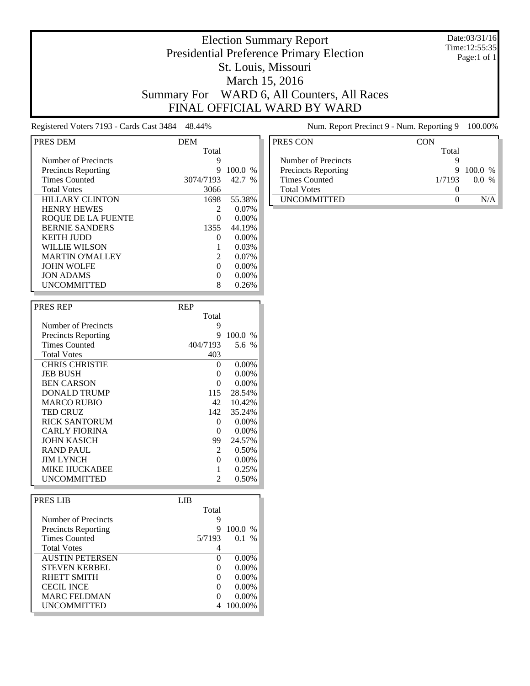#### Date:03/31/16 Time:12:55:35 Page:1 of 1

### Election Summary Report Presidential Preference Primary Election St. Louis, Missouri March 15, 2016 Summary For WARD 6, All Counters, All Races FINAL OFFICIAL WARD BY WARD

Registered Voters 7193 - Cards Cast 3484 48.44% Num. Report Precinct 9 - Num. Reporting 9 100.00%

| PRES DEM                   | <b>DEM</b>   |               |
|----------------------------|--------------|---------------|
|                            | Total        |               |
| Number of Precincts        | 9            |               |
| <b>Precincts Reporting</b> | 9            | 100.0<br>$\%$ |
| <b>Times Counted</b>       | 3074/7193    | 42.7<br>$\%$  |
| <b>Total Votes</b>         | 3066         |               |
| <b>HILLARY CLINTON</b>     | 1698         | 55.38%        |
| <b>HENRY HEWES</b>         |              | $0.07\%$      |
| ROOUE DE LA FUENTE         |              | 0.00%         |
| <b>BERNIE SANDERS</b>      | 1355         | 44.19%        |
| KEITH IUDD                 | $\mathbf{0}$ | $0.00\%$      |
| WILLIE WILSON              |              | 0.03%         |
| <b>MARTIN O'MALLEY</b>     | 2            | $0.07\%$      |
| <b>JOHN WOLFE</b>          | $\mathbf{0}$ | $0.00\%$      |
| <b>JON ADAMS</b>           |              | 0.00%         |
| <b>UNCOMMITTED</b>         |              | 0.26%         |

| <b>PRES REP</b>            | <b>REP</b> |          |
|----------------------------|------------|----------|
|                            | Total      |          |
| Number of Precincts        | 9          |          |
| <b>Precincts Reporting</b> | 9          | 100.0 %  |
| <b>Times Counted</b>       | 404/7193   | 5.6 %    |
| <b>Total Votes</b>         | 403        |          |
| <b>CHRIS CHRISTIE</b>      | 0          | 0.00%    |
| <b>JEB BUSH</b>            | 0          | $0.00\%$ |
| <b>BEN CARSON</b>          | 0          | $0.00\%$ |
| DONALD TRUMP               | 115        | 28.54%   |
| <b>MARCO RUBIO</b>         | 42         | 10.42%   |
| <b>TED CRUZ</b>            | 142        | 35.24%   |
| <b>RICK SANTORUM</b>       | 0          | 0.00%    |
| <b>CARLY FIORINA</b>       | 0          | 0.00%    |
| JOHN KASICH                | 99         | 24.57%   |
| <b>RAND PAUL</b>           | 2          | 0.50%    |
| <b>JIM LYNCH</b>           | $\Omega$   | 0.00%    |
| <b>MIKE HUCKABEE</b>       |            | 0.25%    |
| UNCOMMITTED                | 2          | 0.50%    |

| PRES LIB                   | LIB.              |           |  |
|----------------------------|-------------------|-----------|--|
|                            | Total             |           |  |
| Number of Precincts        | 9                 |           |  |
| <b>Precincts Reporting</b> | 9                 | $100.0\%$ |  |
| <b>Times Counted</b>       | 5/7193            | $0.1\%$   |  |
| <b>Total Votes</b>         |                   |           |  |
| <b>AUSTIN PETERSEN</b>     | $\Omega$          | $0.00\%$  |  |
| <b>STEVEN KERBEL</b>       | $\mathbf{\Omega}$ | $0.00\%$  |  |
| RHETT SMITH                | $\Omega$          | $0.00\%$  |  |
| <b>CECIL INCE</b>          | $\mathbf{\Omega}$ | $0.00\%$  |  |
| <b>MARC FELDMAN</b>        | $\Omega$          | $0.00\%$  |  |
| <b>UNCOMMITTED</b>         | 4                 | 100.00%   |  |

| PRES CON                   | <b>CON</b> |         |
|----------------------------|------------|---------|
|                            | Total      |         |
| Number of Precincts        |            |         |
| <b>Precincts Reporting</b> | 9          | 100.0 % |
| Times Counted              | 1/7193     | $0.0\%$ |
| <b>Total Votes</b>         |            |         |
| <b>UNCOMMITTED</b>         |            |         |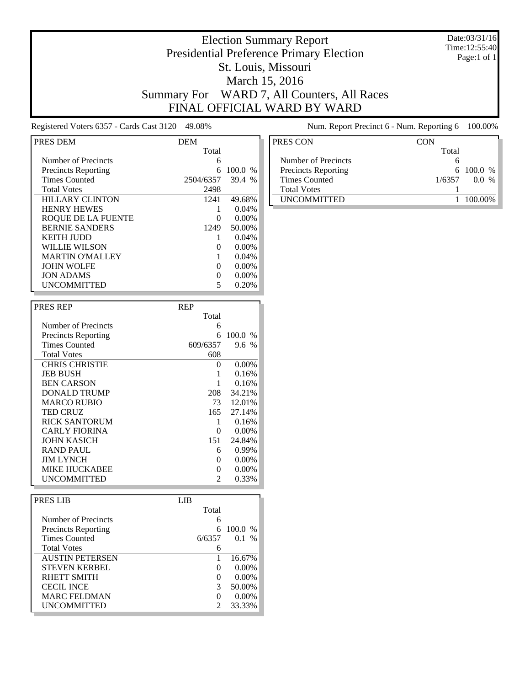#### Date:03/31/16 Time:12:55:40 Page:1 of 1

### Election Summary Report Presidential Preference Primary Election St. Louis, Missouri March 15, 2016 Summary For WARD 7, All Counters, All Races FINAL OFFICIAL WARD BY WARD

Registered Voters 6357 - Cards Cast 3120 49.08% Num. Report Precinct 6 - Num. Reporting 6 100.00%

| PRES DEM                   | <b>DEM</b> |               |
|----------------------------|------------|---------------|
|                            | Total      |               |
| Number of Precincts        | 6          |               |
| <b>Precincts Reporting</b> | 6          | 100.0<br>$\%$ |
| <b>Times Counted</b>       | 2504/6357  | 39.4<br>$\%$  |
| <b>Total Votes</b>         | 2498       |               |
| <b>HILLARY CLINTON</b>     | 1241       | 49.68%        |
| <b>HENRY HEWES</b>         |            | 0.04%         |
| ROOUE DE LA FUENTE         |            | 0.00%         |
| <b>BERNIE SANDERS</b>      | 1249       | 50.00%        |
| <b>KEITH JUDD</b>          |            | 0.04%         |
| WILLIE WILSON              |            | 0.00%         |
| <b>MARTIN O'MALLEY</b>     |            | 0.04%         |
| <b>JOHN WOLFE</b>          | $\Omega$   | $0.00\%$      |
| <b>JON ADAMS</b>           |            | 0.00%         |
| <b>UNCOMMITTED</b>         |            | 0.20%         |

| <b>PRES REP</b>            | <b>REP</b> |          |
|----------------------------|------------|----------|
|                            | Total      |          |
| Number of Precincts        | 6          |          |
| <b>Precincts Reporting</b> | 6          | 100.0 %  |
| <b>Times Counted</b>       | 609/6357   | 9.6%     |
| <b>Total Votes</b>         | 608        |          |
| <b>CHRIS CHRISTIE</b>      | $\Omega$   | $0.00\%$ |
| <b>JEB BUSH</b>            |            | 0.16%    |
| <b>BEN CARSON</b>          |            | 0.16%    |
| DONALD TRUMP               | 208        | 34.21%   |
| <b>MARCO RUBIO</b>         | 73         | 12.01%   |
| <b>TED CRUZ</b>            | 165        | 27.14%   |
| <b>RICK SANTORUM</b>       | 1          | 0.16%    |
| <b>CARLY FIORINA</b>       | 0          | $0.00\%$ |
| <b>JOHN KASICH</b>         | 151        | 24.84%   |
| RAND PAUL                  | 6          | 0.99%    |
| <b>JIM LYNCH</b>           | 0          | $0.00\%$ |
| <b>MIKE HUCKABEE</b>       | 0          | $0.00\%$ |
| UNCOMMITTED                | 2          | 0.33%    |

| PRES LIB                   | LIB.          |          |  |
|----------------------------|---------------|----------|--|
|                            | Total         |          |  |
| Number of Precincts        | 6             |          |  |
| <b>Precincts Reporting</b> | 6             | 100.0 %  |  |
| <b>Times Counted</b>       | 6/6357        | $0.1\%$  |  |
| <b>Total Votes</b>         | 6             |          |  |
| <b>AUSTIN PETERSEN</b>     |               | 16.67%   |  |
| <b>STEVEN KERBEL</b>       | $\Omega$      | $0.00\%$ |  |
| RHETT SMITH                | $\Omega$      | $0.00\%$ |  |
| <b>CECIL INCE</b>          | 3             | 50.00%   |  |
| <b>MARC FELDMAN</b>        | $\Omega$      | $0.00\%$ |  |
| <b>UNCOMMITTED</b>         | $\mathcal{D}$ | 33.33%   |  |

| PRES CON                   | CON                     |
|----------------------------|-------------------------|
|                            |                         |
|                            | Total                   |
| Number of Precincts        | h                       |
| <b>Precincts Reporting</b> | $6\quad100.0\%$         |
| Times Counted              | 1/6357<br>$\frac{0}{6}$ |
| <b>Total Votes</b>         |                         |
| <b>UNCOMMITTED</b>         |                         |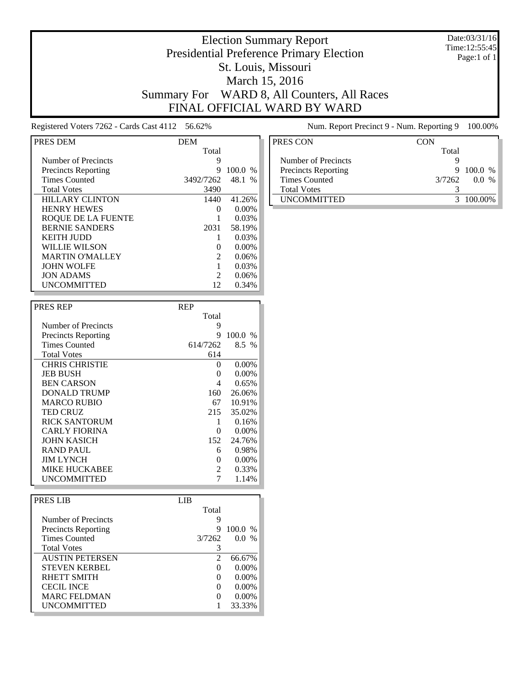#### Date:03/31/16 Time:12:55:45 Page:1 of 1

### Election Summary Report Presidential Preference Primary Election St. Louis, Missouri March 15, 2016 Summary For WARD 8, All Counters, All Races FINAL OFFICIAL WARD BY WARD

Registered Voters 7262 - Cards Cast 4112 56.62% Num. Report Precinct 9 - Num. Reporting 9 100.00%

| PRES DEM                   | <b>DEM</b> |               |
|----------------------------|------------|---------------|
|                            | Total      |               |
| Number of Precincts        | 9          |               |
| <b>Precincts Reporting</b> | 9          | 100.0<br>$\%$ |
| <b>Times Counted</b>       | 3492/7262  | 48.1<br>$\%$  |
| <b>Total Votes</b>         | 3490       |               |
| <b>HILLARY CLINTON</b>     | 1440       | 41.26%        |
| <b>HENRY HEWES</b>         | $\Omega$   | $0.00\%$      |
| <b>ROQUE DE LA FUENTE</b>  |            | 0.03%         |
| <b>BERNIE SANDERS</b>      | 2031       | 58.19%        |
| <b>KEITH JUDD</b>          |            | 0.03%         |
| WILLIE WILSON              |            | 0.00%         |
| <b>MARTIN O'MALLEY</b>     | 2          | 0.06%         |
| <b>JOHN WOLFE</b>          |            | 0.03%         |
| <b>JON ADAMS</b>           | 2          | 0.06%         |
| <b>UNCOMMITTED</b>         | 12         | 0.34%         |

| <b>PRES REP</b>            | <b>REP</b> |          |
|----------------------------|------------|----------|
|                            | Total      |          |
| Number of Precincts        | 9          |          |
| <b>Precincts Reporting</b> | 9          | 100.0%   |
| <b>Times Counted</b>       | 614/7262   | $8.5\%$  |
| <b>Total Votes</b>         | 614        |          |
| <b>CHRIS CHRISTIE</b>      | $\Omega$   | 0.00%    |
| <b>JEB BUSH</b>            | 0          | 0.00%    |
| <b>BEN CARSON</b>          | 4          | 0.65%    |
| DONALD TRUMP               | 160        | 26.06%   |
| <b>MARCO RUBIO</b>         | 67         | 10.91%   |
| <b>TED CRUZ</b>            | 215        | 35.02%   |
| <b>RICK SANTORUM</b>       | 1          | 0.16%    |
| <b>CARLY FIORINA</b>       | $\Omega$   | $0.00\%$ |
| JOHN KASICH                | 152        | 24.76%   |
| <b>RAND PAUL</b>           | 6          | 0.98%    |
| <b>JIM LYNCH</b>           | $\Omega$   | 0.00%    |
| MIKE HUCKABEE              | 2          | 0.33%    |
| UNCOMMITTED                |            | 1.14%    |

| PRES LIB                   | LIB.         |           |
|----------------------------|--------------|-----------|
|                            | Total        |           |
| Number of Precincts        | 9            |           |
| <b>Precincts Reporting</b> | 9            | $100.0\%$ |
| <b>Times Counted</b>       | 3/7262       | $0.0\%$   |
| <b>Total Votes</b>         |              |           |
| <b>AUSTIN PETERSEN</b>     | 2            | 66.67%    |
| <b>STEVEN KERBEL</b>       | $\Omega$     | $0.00\%$  |
| RHETT SMITH                | $\Omega$     | $0.00\%$  |
| <b>CECIL INCE</b>          | $\Omega$     | $0.00\%$  |
| <b>MARC FELDMAN</b>        | $\mathbf{0}$ | $0.00\%$  |
| <b>UNCOMMITTED</b>         |              | 33.33%    |

| PRES CON                   | CON    |           |
|----------------------------|--------|-----------|
|                            | Total  |           |
| Number of Precincts        |        |           |
| <b>Precincts Reporting</b> | 9      | $100.0\%$ |
| Times Counted              | 3/7262 | $0.0\%$   |
| <b>Total Votes</b>         |        |           |
| <b>UNCOMMITTED</b>         |        | 3 100 00% |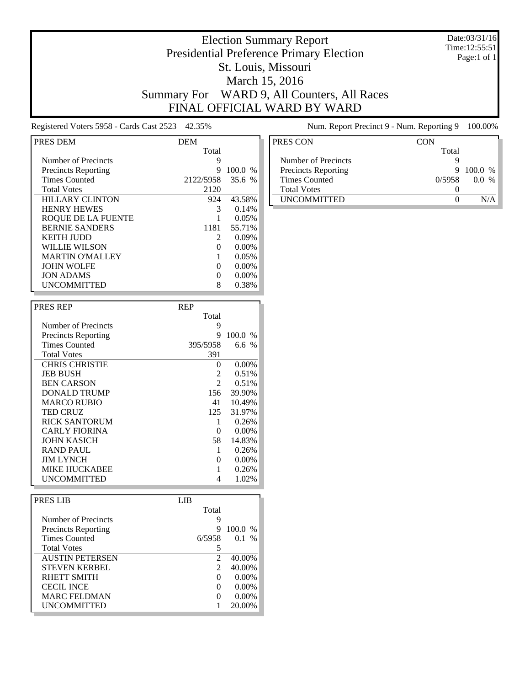#### Date:03/31/16 Time:12:55:51 Page:1 of 1

### Election Summary Report Presidential Preference Primary Election St. Louis, Missouri March 15, 2016 Summary For WARD 9, All Counters, All Races FINAL OFFICIAL WARD BY WARD

Registered Voters 5958 - Cards Cast 2523 42.35% Num. Report Precinct 9 - Num. Reporting 9 100.00%

| PRES DEM                   | <b>DEM</b>     |          |
|----------------------------|----------------|----------|
|                            | Total          |          |
| Number of Precincts        | 9              |          |
| <b>Precincts Reporting</b> | 9              | 100.0 %  |
| <b>Times Counted</b>       | 2122/5958      | 35.6%    |
| <b>Total Votes</b>         | 2120           |          |
| <b>HILLARY CLINTON</b>     | 924            | 43.58%   |
| <b>HENRY HEWES</b>         | 3              | 0.14%    |
| ROOUE DE LA FUENTE         |                | 0.05%    |
| <b>BERNIE SANDERS</b>      | 1181           | 55.71%   |
| KEITH IUDD                 | $\mathfrak{D}$ | $0.09\%$ |
| WILLIE WILSON              |                | $0.00\%$ |
| <b>MARTIN O'MALLEY</b>     |                | 0.05%    |
| <b>JOHN WOLFE</b>          | 0              | $0.00\%$ |
| <b>JON ADAMS</b>           |                | 0.00%    |
| <b>UNCOMMITTED</b>         |                | 0.38%    |

| <b>PRES REP</b>            | <b>REP</b> |         |
|----------------------------|------------|---------|
|                            | Total      |         |
| Number of Precincts        | 9          |         |
| <b>Precincts Reporting</b> | 9          | 100.0 % |
| <b>Times Counted</b>       | 395/5958   | 6.6 $%$ |
| <b>Total Votes</b>         | 391        |         |
| <b>CHRIS CHRISTIE</b>      | $\Omega$   | 0.00%   |
| <b>JEB BUSH</b>            | 2          | 0.51%   |
| <b>BEN CARSON</b>          | 2          | 0.51%   |
| DONALD TRUMP               | 156        | 39.90%  |
| <b>MARCO RUBIO</b>         | 41         | 10.49%  |
| <b>TED CRUZ</b>            | 125        | 31.97%  |
| <b>RICK SANTORUM</b>       | 1          | 0.26%   |
| <b>CARLY FIORINA</b>       | 0          | 0.00%   |
| <b>JOHN KASICH</b>         | 58.        | 14.83%  |
| <b>RAND PAUL</b>           | 1          | 0.26%   |
| <b>JIM LYNCH</b>           | 0          | 0.00%   |
| MIKE HUCKABEE              |            | 0.26%   |
| UNCOMMITTED                | 4          | 1.02%   |

| PRES LIB                   | LIB.                  |           |
|----------------------------|-----------------------|-----------|
|                            | Total                 |           |
| Number of Precincts        | 9                     |           |
| <b>Precincts Reporting</b> | 9                     | $100.0\%$ |
| <b>Times Counted</b>       | 6/5958                | $0.1\%$   |
| <b>Total Votes</b>         |                       |           |
| <b>AUSTIN PETERSEN</b>     | $\mathcal{D}_{\cdot}$ | 40.00%    |
| <b>STEVEN KERBEL</b>       | 2                     | 40.00%    |
| RHETT SMITH                | $\Omega$              | $0.00\%$  |
| <b>CECIL INCE</b>          | $\mathbf{\Omega}$     | $0.00\%$  |
| <b>MARC FELDMAN</b>        | $\mathbf{\Omega}$     | $0.00\%$  |
| <b>UNCOMMITTED</b>         |                       | 20.00%    |

| PRES CON                   | CON    |         |
|----------------------------|--------|---------|
|                            | Total  |         |
| Number of Precincts        |        |         |
| <b>Precincts Reporting</b> | 9      | 100.0 % |
| Times Counted              | 0/5958 | $0.0\%$ |
| <b>Total Votes</b>         |        |         |
| <b>UNCOMMITTED</b>         |        |         |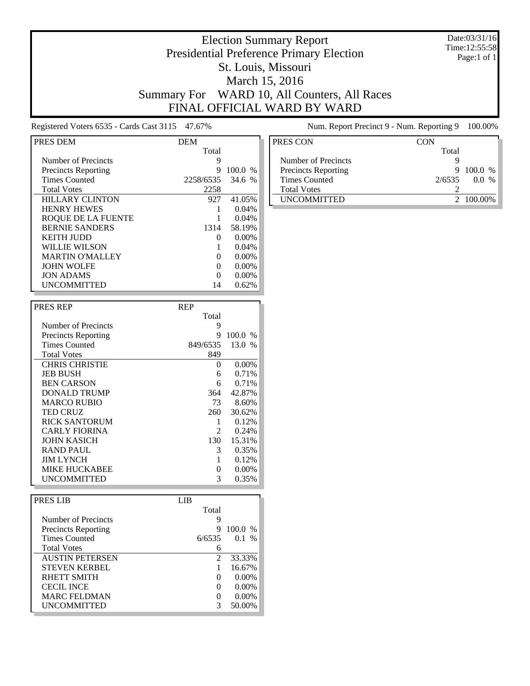#### Date:03/31/16 Time:12:55:58 Page:1 of 1

# Election Summary Report Presidential Preference Primary Election St. Louis, Missouri March 15, 2016 Summary For WARD 10, All Counters, All Races FINAL OFFICIAL WARD BY WARD

Registered Voters 6535 - Cards Cast 3115 47.67% Num. Report Precinct 9 - Num. Reporting 9 100.00%

| PRES DEM                   | <b>DEM</b> |          |
|----------------------------|------------|----------|
|                            | Total      |          |
| Number of Precincts        | 9          |          |
| <b>Precincts Reporting</b> | 9          | 100.0%   |
| <b>Times Counted</b>       | 2258/6535  | 34.6%    |
| <b>Total Votes</b>         | 2258       |          |
| <b>HILLARY CLINTON</b>     | 927        | 41.05%   |
| <b>HENRY HEWES</b>         |            | 0.04%    |
| ROQUE DE LA FUENTE         |            | 0.04%    |
| <b>BERNIE SANDERS</b>      | 1314       | 58.19%   |
| KEITH JUDD                 | $\Omega$   | $0.00\%$ |
| WILLIE WILSON              |            | 0.04%    |
| <b>MARTIN O'MALLEY</b>     | 0          | $0.00\%$ |
| <b>JOHN WOLFE</b>          | 0          | $0.00\%$ |
| <b>JON ADAMS</b>           | 0          | 0.00%    |
| <b>UNCOMMITTED</b>         | 14         | 0.62%    |

| <b>PRES REP</b>            | <b>REP</b> |          |
|----------------------------|------------|----------|
|                            | Total      |          |
| Number of Precincts        | 9          |          |
| <b>Precincts Reporting</b> | 9          | 100.0%   |
| <b>Times Counted</b>       | 849/6535   | 13.0%    |
| <b>Total Votes</b>         | 849        |          |
| <b>CHRIS CHRISTIE</b>      | $\Omega$   | $0.00\%$ |
| <b>JEB BUSH</b>            | 6          | 0.71%    |
| <b>BEN CARSON</b>          | 6          | 0.71%    |
| DONALD TRUMP               | 364        | 42.87%   |
| <b>MARCO RUBIO</b>         | 73         | 8.60%    |
| <b>TED CRUZ</b>            | 260        | 30.62%   |
| <b>RICK SANTORUM</b>       | 1          | 0.12%    |
| <b>CARLY FIORINA</b>       | 2          | 0.24%    |
| <b>JOHN KASICH</b>         | 130        | 15.31%   |
| <b>RAND PAUL</b>           | 3          | 0.35%    |
| <b>JIM LYNCH</b>           |            | 0.12%    |
| <b>MIKE HUCKABEE</b>       | 0          | $0.00\%$ |
| UNCOMMITTED                | 3          | 0.35%    |

| PRES LIB                   | LIB                   |           |
|----------------------------|-----------------------|-----------|
|                            | Total                 |           |
| Number of Precincts        | 9                     |           |
| <b>Precincts Reporting</b> | 9                     | $100.0\%$ |
| <b>Times Counted</b>       | 6/6535                | $0.1\%$   |
| <b>Total Votes</b>         | 6                     |           |
| <b>AUSTIN PETERSEN</b>     | $\mathcal{D}_{\cdot}$ | 33.33%    |
| <b>STEVEN KERBEL</b>       |                       | 16.67%    |
| RHETT SMITH                | $\Omega$              | $0.00\%$  |
| <b>CECIL INCE</b>          | $\mathbf{\Omega}$     | $0.00\%$  |
| <b>MARC FELDMAN</b>        | $\Omega$              | $0.00\%$  |
| <b>UNCOMMITTED</b>         | 3                     | 50.00%    |

| PRES CON                   | CON    |           |
|----------------------------|--------|-----------|
|                            | Total  |           |
| Number of Precincts        |        |           |
| <b>Precincts Reporting</b> | 9      | $100.0\%$ |
| <b>Times Counted</b>       | 2/6535 | $0.0\%$   |
| <b>Total Votes</b>         |        |           |
| <b>IINCOMMITTED</b>        |        | 2 100.00% |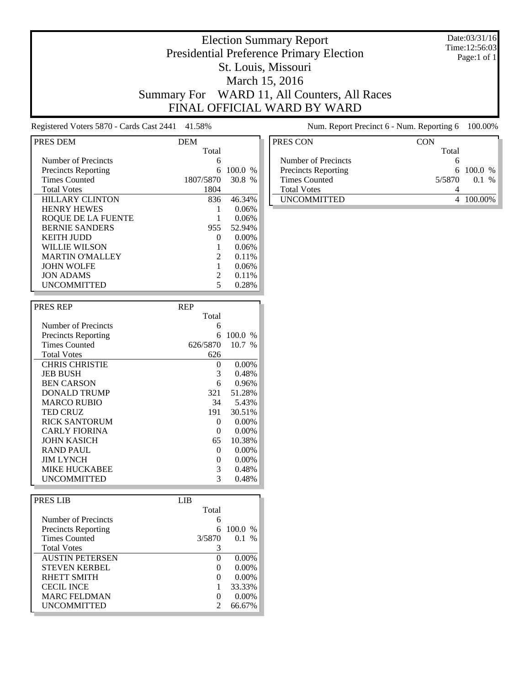#### Date:03/31/16 Time:12:56:03 Page:1 of 1

# Election Summary Report Presidential Preference Primary Election St. Louis, Missouri March 15, 2016 Summary For WARD 11, All Counters, All Races FINAL OFFICIAL WARD BY WARD

Registered Voters 5870 - Cards Cast 2441 41.58% Num. Report Precinct 6 - Num. Reporting 6 100.00%

| PRES DEM                   | <b>DEM</b>                  |               |
|----------------------------|-----------------------------|---------------|
|                            | Total                       |               |
| Number of Precincts        | 6                           |               |
| <b>Precincts Reporting</b> | 6                           | 100.0<br>$\%$ |
| <b>Times Counted</b>       | 1807/5870                   | 30.8<br>$\%$  |
| <b>Total Votes</b>         | 1804                        |               |
| <b>HILLARY CLINTON</b>     | 836                         | 46.34%        |
| <b>HENRY HEWES</b>         |                             | 0.06%         |
| ROOUE DE LA FUENTE         |                             | 0.06%         |
| <b>BERNIE SANDERS</b>      | 955                         | 52.94%        |
| KEITH IUDD                 | 0                           | 0.00%         |
| WILLIE WILSON              |                             | 0.06%         |
| <b>MARTIN O'MALLEY</b>     | $\mathcal{D}_{\mathcal{L}}$ | 0.11%         |
| <b>JOHN WOLFE</b>          |                             | 0.06%         |
| <b>JON ADAMS</b>           | $\mathcal{D}_{\mathcal{L}}$ | 0.11%         |
| <b>UNCOMMITTED</b>         |                             | 0.28%         |

| <b>PRES REP</b>            | <b>REP</b> |          |
|----------------------------|------------|----------|
|                            | Total      |          |
| Number of Precincts        | 6          |          |
| <b>Precincts Reporting</b> | 6          | 100.0 %  |
| <b>Times Counted</b>       | 626/5870   | 10.7 %   |
| <b>Total Votes</b>         | 626        |          |
| <b>CHRIS CHRISTIE</b>      | $\Omega$   | 0.00%    |
| <b>JEB BUSH</b>            | 3          | 0.48%    |
| <b>BEN CARSON</b>          | 6          | 0.96%    |
| DONALD TRUMP               | 321        | 51.28%   |
| <b>MARCO RUBIO</b>         | 34         | 5.43%    |
| <b>TED CRUZ</b>            | 191        | 30.51%   |
| <b>RICK SANTORUM</b>       | 0          | $0.00\%$ |
| CARLY FIORINA              | $\theta$   | 0.00%    |
| JOHN KASICH                | 65         | 10.38%   |
| RAND PAUL                  | 0          | $0.00\%$ |
| <b>JIM LYNCH</b>           | 0          | 0.00%    |
| <b>MIKE HUCKABEE</b>       | 3          | 0.48%    |
| UNCOMMITTED                | 3          | 0.48%    |

| <b>PRESIJB</b>             | LIB. |                   |          |  |
|----------------------------|------|-------------------|----------|--|
|                            |      | Total             |          |  |
| Number of Precincts        |      | 6                 |          |  |
| <b>Precincts Reporting</b> |      | 6                 | 100.0 %  |  |
| <b>Times Counted</b>       |      | 3/5870            | 0.1 %    |  |
| <b>Total Votes</b>         |      | 3                 |          |  |
| <b>AUSTIN PETERSEN</b>     |      | $\Omega$          | $0.00\%$ |  |
| <b>STEVEN KERBEL</b>       |      | $\mathbf{\Omega}$ | $0.00\%$ |  |
| RHETT SMITH                |      | $\mathbf{\Omega}$ | $0.00\%$ |  |
| <b>CECIL INCE</b>          |      |                   | 33.33%   |  |
| <b>MARC FELDMAN</b>        |      | $\mathbf{\Omega}$ | $0.00\%$ |  |
| <b>UNCOMMITTED</b>         |      |                   | 66.67%   |  |

| PRES CON                   | CON    |                 |
|----------------------------|--------|-----------------|
|                            | Total  |                 |
| Number of Precincts        |        |                 |
| <b>Precincts Reporting</b> |        | $6\quad100.0\%$ |
| Times Counted              | 5/5870 | $0.1\%$         |
| <b>Total Votes</b>         |        |                 |
| <b>UNCOMMITTED</b>         |        | - 100 00%       |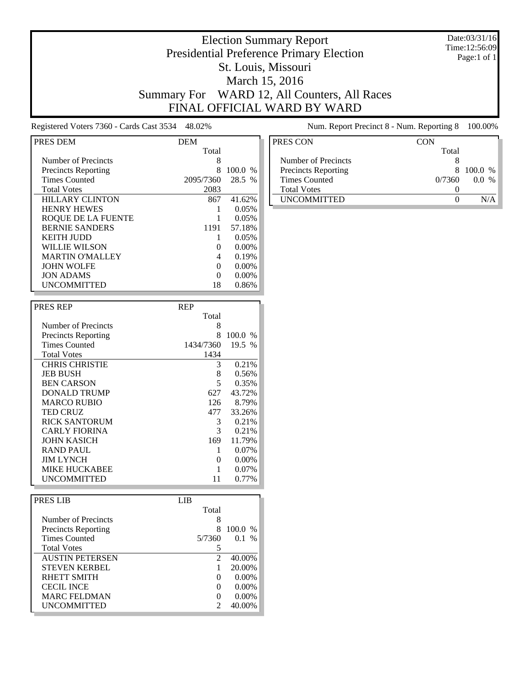#### Date:03/31/16 Time:12:56:09 Page:1 of 1

# Election Summary Report Presidential Preference Primary Election St. Louis, Missouri March 15, 2016 Summary For WARD 12, All Counters, All Races FINAL OFFICIAL WARD BY WARD

Registered Voters 7360 - Cards Cast 3534 48.02% Num. Report Precinct 8 - Num. Reporting 8 100.00%

| PRES DEM                   | <b>DEM</b> |           |
|----------------------------|------------|-----------|
|                            | Total      |           |
| Number of Precincts        | 8          |           |
| <b>Precincts Reporting</b> | 8          | $100.0\%$ |
| <b>Times Counted</b>       | 2095/7360  | 28.5 %    |
| <b>Total Votes</b>         | 2083       |           |
| <b>HILLARY CLINTON</b>     | 867        | 41.62%    |
| <b>HENRY HEWES</b>         |            | 0.05%     |
| ROOUE DE LA FUENTE         |            | 0.05%     |
| <b>BERNIE SANDERS</b>      | 1191       | 57.18%    |
| KEITH IUDD                 |            | 0.05%     |
| WILLIE WILSON              |            | $0.00\%$  |
| <b>MARTIN O'MALLEY</b>     | 4          | 0.19%     |
| <b>JOHN WOLFE</b>          | 0          | $0.00\%$  |
| <b>JON ADAMS</b>           | 0          | $0.00\%$  |
| <b>UNCOMMITTED</b>         | 18         | 0.86%     |

| <b>PRES REP</b>            | <b>REP</b> |          |
|----------------------------|------------|----------|
|                            | Total      |          |
| Number of Precincts        | 8          |          |
| <b>Precincts Reporting</b> | 8          | 100.0 %  |
| <b>Times Counted</b>       | 1434/7360  | 19.5 %   |
| <b>Total Votes</b>         | 1434       |          |
| <b>CHRIS CHRISTIE</b>      | 3          | 0.21%    |
| <b>JEB BUSH</b>            | 8          | 0.56%    |
| <b>BEN CARSON</b>          | 5          | 0.35%    |
| DONALD TRUMP               | 627        | 43.72%   |
| <b>MARCO RUBIO</b>         | 126        | 8.79%    |
| <b>TED CRUZ</b>            | 477        | 33.26%   |
| <b>RICK SANTORUM</b>       | 3          | 0.21%    |
| <b>CARLY FIORINA</b>       | 3          | 0.21%    |
| JOHN KASICH                | 169        | 11.79%   |
| <b>RAND PAUL</b>           | 1          | $0.07\%$ |
| <b>JIM LYNCH</b>           | 0          | $0.00\%$ |
| <b>MIKE HUCKABEE</b>       |            | 0.07%    |
| UNCOMMITTED                | 11         | 0.77%    |

| PRES LIB                   | LIB               |           |  |
|----------------------------|-------------------|-----------|--|
|                            | Total             |           |  |
| Number of Precincts        | 8                 |           |  |
| <b>Precincts Reporting</b> | 8                 | $100.0\%$ |  |
| <b>Times Counted</b>       | 5/7360            | 0.1 %     |  |
| <b>Total Votes</b>         |                   |           |  |
| <b>AUSTIN PETERSEN</b>     | 2                 | 40.00%    |  |
| <b>STEVEN KERBEL</b>       |                   | 20.00%    |  |
| RHETT SMITH                | $\Omega$          | $0.00\%$  |  |
| <b>CECIL INCE</b>          | $\mathbf{\Omega}$ | $0.00\%$  |  |
| <b>MARC FELDMAN</b>        | $\mathbf{0}$      | $0.00\%$  |  |
| <b>UNCOMMITTED</b>         | 7                 | 40.00%    |  |

| PRES CON                   | CON    |           |
|----------------------------|--------|-----------|
|                            | Total  |           |
| Number of Precincts        |        |           |
| <b>Precincts Reporting</b> | 8      | $100.0\%$ |
| <b>Times Counted</b>       | 0/7360 | $0.0\%$   |
| <b>Total Votes</b>         |        |           |
| <b>UNCOMMITTED</b>         |        |           |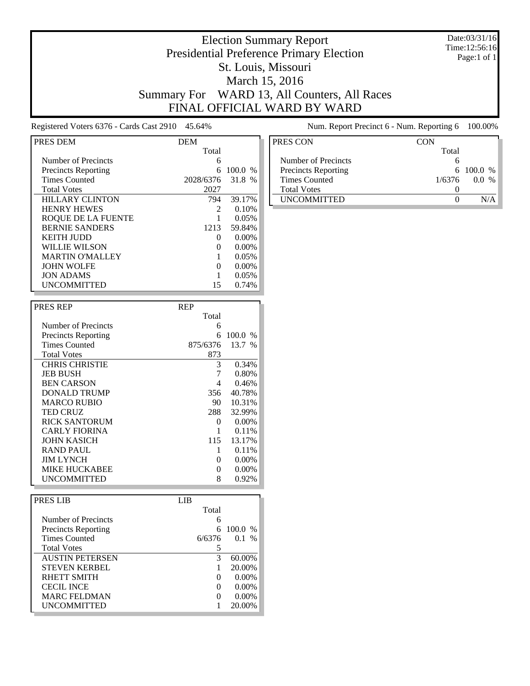#### Date:03/31/16 Time:12:56:16 Page:1 of 1

# Election Summary Report Presidential Preference Primary Election St. Louis, Missouri March 15, 2016 Summary For WARD 13, All Counters, All Races FINAL OFFICIAL WARD BY WARD

Registered Voters 6376 - Cards Cast 2910 45.64% Num. Report Precinct 6 - Num. Reporting 6 100.00%

| PRES DEM                   | <b>DEM</b>     |               |
|----------------------------|----------------|---------------|
|                            | Total          |               |
| Number of Precincts        | 6              |               |
| <b>Precincts Reporting</b> |                | 100.0<br>$\%$ |
| <b>Times Counted</b>       | 2028/6376      | 31.8 %        |
| <b>Total Votes</b>         | 2027           |               |
| <b>HILLARY CLINTON</b>     | 794            | 39.17%        |
| <b>HENRY HEWES</b>         | $\mathfrak{D}$ | 0.10%         |
| ROOUE DE LA FUENTE         |                | 0.05%         |
| <b>BERNIE SANDERS</b>      | 1213           | 59.84%        |
| KEITH IUDD                 | $\mathbf{0}$   | $0.00\%$      |
| WILLIE WILSON              |                | $0.00\%$      |
| <b>MARTIN O'MALLEY</b>     |                | 0.05%         |
| <b>JOHN WOLFE</b>          | $\mathbf{0}$   | $0.00\%$      |
| <b>JON ADAMS</b>           |                | 0.05%         |
| <b>UNCOMMITTED</b>         | 15             | 0.74%         |

| <b>PRES REP</b>            | <b>REP</b> |               |
|----------------------------|------------|---------------|
|                            | Total      |               |
| Number of Precincts        | 6          |               |
| <b>Precincts Reporting</b> | 6          | 100.0<br>$\%$ |
| <b>Times Counted</b>       | 875/6376   | 13.7 %        |
| <b>Total Votes</b>         | 873        |               |
| <b>CHRIS CHRISTIE</b>      | 3          | 0.34%         |
| <b>JEB BUSH</b>            | 7          | 0.80%         |
| <b>BEN CARSON</b>          | 4          | 0.46%         |
| DONALD TRUMP               | 356        | 40.78%        |
| <b>MARCO RUBIO</b>         | 90.        | 10.31%        |
| <b>TED CRUZ</b>            | 288        | 32.99%        |
| <b>RICK SANTORUM</b>       | 0          | 0.00%         |
| <b>CARLY FIORINA</b>       |            | 0.11%         |
| JOHN KASICH                | 115        | 13.17%        |
| <b>RAND PAUL</b>           | 1          | 0.11%         |
| <b>JIM LYNCH</b>           | 0          | 0.00%         |
| <b>MIKE HUCKABEE</b>       | 0          | 0.00%         |
| UNCOMMITTED                | 8          | 0.92%         |

| PRES LIB                   | LIB      |          |  |
|----------------------------|----------|----------|--|
|                            | Total    |          |  |
| Number of Precincts        | 6        |          |  |
| <b>Precincts Reporting</b> | 6        | 100.0 %  |  |
| <b>Times Counted</b>       | 6/6376   | 0.1 %    |  |
| <b>Total Votes</b>         |          |          |  |
| <b>AUSTIN PETERSEN</b>     | 3        | 60.00%   |  |
| <b>STEVEN KERBEL</b>       |          | 20.00%   |  |
| <b>RHETT SMITH</b>         | $\Omega$ | $0.00\%$ |  |
| <b>CECIL INCE</b>          | $\Omega$ | $0.00\%$ |  |
| <b>MARC FELDMAN</b>        | $\Omega$ | $0.00\%$ |  |
| <b>UNCOMMITTED</b>         |          | 20.00%   |  |

| PRES CON                   | <b>CON</b> |            |
|----------------------------|------------|------------|
|                            | Total      |            |
| Number of Precincts        |            |            |
| <b>Precincts Reporting</b> |            | 6 100.0 %  |
| <b>Times Counted</b>       | 1/6376     | $\%$<br>00 |
| <b>Total Votes</b>         |            |            |
| <b>UNCOMMITTED</b>         |            |            |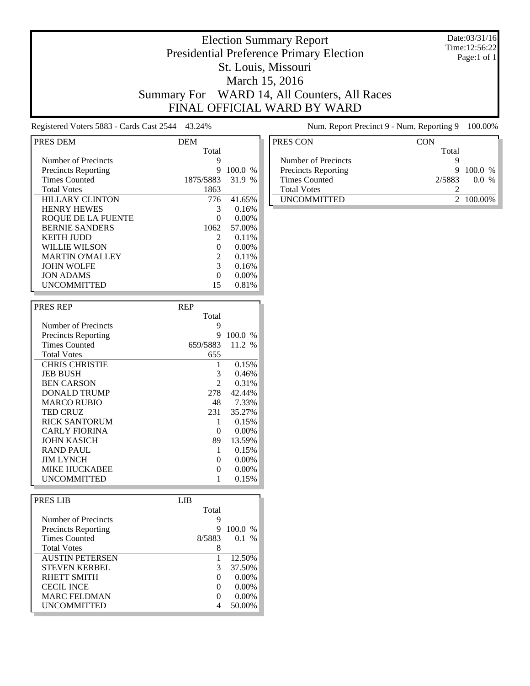#### Date:03/31/16 Time:12:56:22 Page:1 of 1

# Election Summary Report Presidential Preference Primary Election St. Louis, Missouri March 15, 2016 Summary For WARD 14, All Counters, All Races FINAL OFFICIAL WARD BY WARD

Registered Voters 5883 - Cards Cast 2544 43.24% Num. Report Precinct 9 - Num. Reporting 9 100.00%

| PRES DEM                   | <b>DEM</b>                  |          |
|----------------------------|-----------------------------|----------|
|                            | Total                       |          |
| Number of Precincts        | 9                           |          |
| <b>Precincts Reporting</b> | 9                           | 100.0 %  |
| <b>Times Counted</b>       | 1875/5883                   | 31.9 %   |
| <b>Total Votes</b>         | 1863                        |          |
| <b>HILLARY CLINTON</b>     | 776                         | 41.65%   |
| <b>HENRY HEWES</b>         | 3                           | 0.16%    |
| ROOUE DE LA FUENTE         | 0                           | $0.00\%$ |
| <b>BERNIE SANDERS</b>      | 1062                        | 57.00%   |
| <b>KEITH JUDD</b>          | $\mathcal{D}_{\mathcal{L}}$ | 0.11%    |
| <b>WILLIE WILSON</b>       |                             | $0.00\%$ |
| <b>MARTIN O'MALLEY</b>     | 2                           | 0.11%    |
| <b>JOHN WOLFE</b>          | 3                           | 0.16%    |
| <b>JON ADAMS</b>           | 0                           | 0.00%    |
| <b>UNCOMMITTED</b>         | 15                          | 0.81%    |

| <b>PRES REP</b>            | <b>REP</b>    |          |
|----------------------------|---------------|----------|
|                            | Total         |          |
| Number of Precincts        | 9             |          |
| <b>Precincts Reporting</b> | 9             | 100.0%   |
| <b>Times Counted</b>       | 659/5883      | 11.2 %   |
| <b>Total Votes</b>         | 655           |          |
| <b>CHRIS CHRISTIE</b>      |               | 0.15%    |
| <b>JEB BUSH</b>            | 3             | 0.46%    |
| <b>BEN CARSON</b>          | $\mathcal{L}$ | 0.31%    |
| DONALD TRUMP               | 278           | 42.44%   |
| <b>MARCO RUBIO</b>         | 48            | 7.33%    |
| <b>TED CRUZ</b>            | 231           | 35.27%   |
| <b>RICK SANTORUM</b>       | 1             | 0.15%    |
| <b>CARLY FIORINA</b>       | $\theta$      | 0.00%    |
| <b>JOHN KASICH</b>         | 89            | 13.59%   |
| <b>RAND PAUL</b>           | 1             | 0.15%    |
| <b>JIM LYNCH</b>           | $\theta$      | 0.00%    |
| <b>MIKE HUCKABEE</b>       | 0             | $0.00\%$ |
| UNCOMMITTED                |               | 0.15%    |

| PRES LIB                   | LIB.              |           |
|----------------------------|-------------------|-----------|
|                            | Total             |           |
| Number of Precincts        | 9                 |           |
| <b>Precincts Reporting</b> | 9                 | $100.0\%$ |
| <b>Times Counted</b>       | 8/5883            | $0.1\%$   |
| <b>Total Votes</b>         | 8                 |           |
| <b>AUSTIN PETERSEN</b>     |                   | 12.50%    |
| <b>STEVEN KERBEL</b>       | 3                 | 37.50%    |
| RHETT SMITH                | $\mathbf{0}$      | $0.00\%$  |
| <b>CECIL INCE</b>          | $\mathbf{\Omega}$ | $0.00\%$  |
| <b>MARC FELDMAN</b>        | $\mathbf{\Omega}$ | $0.00\%$  |
| <b>UNCOMMITTED</b>         |                   | 50.00%    |

| PRES CON                   | CON            |  |
|----------------------------|----------------|--|
|                            | Total          |  |
| Number of Precincts        |                |  |
| <b>Precincts Reporting</b> | $100.0\%$<br>9 |  |
| <b>Times Counted</b>       | 2/5883<br>00 % |  |
| <b>Total Votes</b>         |                |  |
| <b>UNCOMMITTED</b>         | 2 100.00%      |  |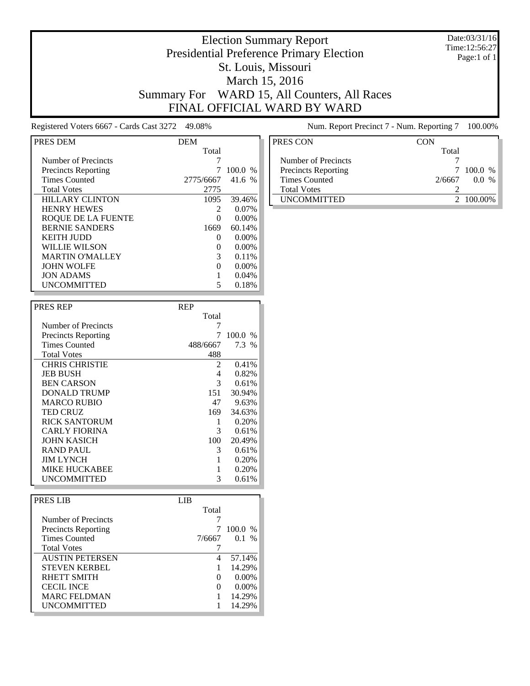#### Date:03/31/16 Time:12:56:27 Page:1 of 1

### Election Summary Report Presidential Preference Primary Election St. Louis, Missouri March 15, 2016 Summary For WARD 15, All Counters, All Races FINAL OFFICIAL WARD BY WARD

Registered Voters 6667 - Cards Cast 3272 49.08% Num. Report Precinct 7 - Num. Reporting 7 100.00%

| PRES DEM                   | <b>DEM</b>   |          |
|----------------------------|--------------|----------|
|                            | Total        |          |
| Number of Precincts        |              |          |
| <b>Precincts Reporting</b> |              | 100.0%   |
| <b>Times Counted</b>       | 2775/6667    | 41.6 %   |
| <b>Total Votes</b>         | 2775         |          |
| <b>HILLARY CLINTON</b>     | 1095         | 39.46%   |
| <b>HENRY HEWES</b>         |              | $0.07\%$ |
| ROOUE DE LA FUENTE         |              | 0.00%    |
| <b>BERNIE SANDERS</b>      | 1669         | 60.14%   |
| KEITH IUDD                 | $\mathbf{0}$ | $0.00\%$ |
| WILLIE WILSON              |              | $0.00\%$ |
| <b>MARTIN O'MALLEY</b>     | 3            | 0.11%    |
| <b>JOHN WOLFE</b>          |              | $0.00\%$ |
| <b>JON ADAMS</b>           |              | 0.04%    |
| <b>UNCOMMITTED</b>         |              | 0.18%    |

| <b>PRES REP</b>            | <b>REP</b> |         |
|----------------------------|------------|---------|
|                            | Total      |         |
| Number of Precincts        |            |         |
| <b>Precincts Reporting</b> |            | 100.0 % |
| <b>Times Counted</b>       | 488/6667   | 7.3 %   |
| <b>Total Votes</b>         | 488        |         |
| <b>CHRIS CHRISTIE</b>      | 2          | 0.41%   |
| <b>JEB BUSH</b>            | 4          | 0.82%   |
| <b>BEN CARSON</b>          | 3          | 0.61%   |
| DONALD TRUMP               | 151        | 30.94%  |
| <b>MARCO RUBIO</b>         | 47         | 9.63%   |
| <b>TED CRUZ</b>            | 169        | 34.63%  |
| <b>RICK SANTORUM</b>       |            | 0.20%   |
| <b>CARLY FIORINA</b>       | 3          | 0.61%   |
| <b>JOHN KASICH</b>         | 100        | 20.49%  |
| <b>RAND PAUL</b>           | 3          | 0.61%   |
| <b>JIM LYNCH</b>           |            | 0.20%   |
| <b>MIKE HUCKABEE</b>       |            | 0.20%   |
| <b>UNCOMMITTED</b>         | 3          | 0.61%   |

| PRES LIB                   | LIB    |           |
|----------------------------|--------|-----------|
|                            | Total  |           |
| Number of Precincts        |        |           |
| <b>Precincts Reporting</b> |        | $100.0\%$ |
| <b>Times Counted</b>       | 7/6667 | $0.1\%$   |
| <b>Total Votes</b>         |        |           |
| <b>AUSTIN PETERSEN</b>     |        | 57.14%    |
| <b>STEVEN KERBEL</b>       |        | 14.29%    |
| RHETT SMITH                |        | $0.00\%$  |
| <b>CECIL INCE</b>          |        | $0.00\%$  |
| <b>MARC FELDMAN</b>        |        | 14.29%    |
| <b>UNCOMMITTED</b>         |        | 14.29%    |

| <b>CON</b> |           |
|------------|-----------|
| Total      |           |
|            |           |
| 7          | $100.0\%$ |
| 2/6667     | $0.0\%$   |
|            |           |
|            | 2 100.00% |
|            |           |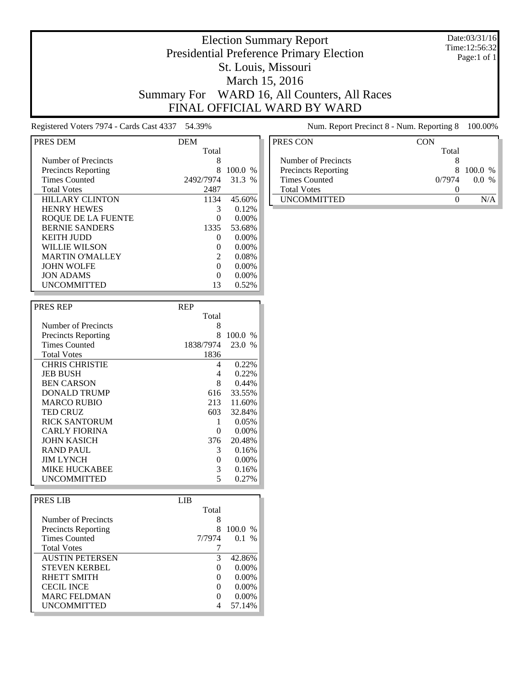#### Date:03/31/16 Time:12:56:32 Page:1 of 1

# Election Summary Report Presidential Preference Primary Election St. Louis, Missouri March 15, 2016 Summary For WARD 16, All Counters, All Races FINAL OFFICIAL WARD BY WARD

Registered Voters 7974 - Cards Cast 4337 54.39% Num. Report Precinct 8 - Num. Reporting 8 100.00%

| PRES DEM                   | <b>DEM</b>   |               |
|----------------------------|--------------|---------------|
|                            | Total        |               |
| Number of Precincts        | 8            |               |
| <b>Precincts Reporting</b> | 8            | 100.0<br>$\%$ |
| <b>Times Counted</b>       | 2492/7974    | 31.3 %        |
| <b>Total Votes</b>         | 2487         |               |
| <b>HILLARY CLINTON</b>     | 1134         | 45.60%        |
| <b>HENRY HEWES</b>         | 3            | 0.12%         |
| ROOUE DE LA FUENTE         |              | $0.00\%$      |
| <b>BERNIE SANDERS</b>      | 1335         | 53.68%        |
| <b>KEITH JUDD</b>          | $\mathbf{0}$ | $0.00\%$      |
| WILLIE WILSON              |              | $0.00\%$      |
| <b>MARTIN O'MALLEY</b>     | 2            | 0.08%         |
| <b>JOHN WOLFE</b>          | $\mathbf{0}$ | $0.00\%$      |
| <b>JON ADAMS</b>           |              | 0.00%         |
| <b>UNCOMMITTED</b>         | 13           | 0.52%         |

| <b>PRES REP</b>            | <b>REP</b> |         |
|----------------------------|------------|---------|
|                            | Total      |         |
| Number of Precincts        | 8          |         |
| <b>Precincts Reporting</b> | 8          | 100.0 % |
| <b>Times Counted</b>       | 1838/7974  | 23.0 %  |
| <b>Total Votes</b>         | 1836       |         |
| <b>CHRIS CHRISTIE</b>      | 4          | 0.22%   |
| <b>JEB BUSH</b>            | 4          | 0.22%   |
| <b>BEN CARSON</b>          | 8          | 0.44%   |
| DONALD TRUMP               | 616        | 33.55%  |
| <b>MARCO RUBIO</b>         | 213        | 11.60%  |
| <b>TED CRUZ</b>            | 603        | 32.84%  |
| <b>RICK SANTORUM</b>       | 1          | 0.05%   |
| <b>CARLY FIORINA</b>       | 0          | 0.00%   |
| JOHN KASICH                | 376        | 20.48%  |
| <b>RAND PAUL</b>           | 3          | 0.16%   |
| <b>JIM LYNCH</b>           | 0          | 0.00%   |
| MIKE HUCKABEE              | 3          | 0.16%   |
| UNCOMMITTED                | 5          | 0.27%   |

| PRES LIB               | LIB               |          |
|------------------------|-------------------|----------|
|                        | Total             |          |
| Number of Precincts    | 8                 |          |
| Precincts Reporting    | 8                 | 100.0%   |
| <b>Times Counted</b>   | 7/7974            | 0.1 %    |
| <b>Total Votes</b>     |                   |          |
| <b>AUSTIN PETERSEN</b> | 3                 | 42.86%   |
| <b>STEVEN KERBEL</b>   | $\Omega$          | $0.00\%$ |
| <b>RHETT SMITH</b>     | $\Omega$          | $0.00\%$ |
| <b>CECIL INCE</b>      | $\mathbf{\Omega}$ | $0.00\%$ |
| <b>MARC FELDMAN</b>    | $\Omega$          | $0.00\%$ |
| <b>UNCOMMITTED</b>     |                   | 57.14%   |

| PRES CON                   | CON    |            |
|----------------------------|--------|------------|
|                            | Total  |            |
| Number of Precincts        |        |            |
| <b>Precincts Reporting</b> | x      | $100.0\%$  |
| <b>Times Counted</b>       | 0/7974 | $\%$<br>00 |
| <b>Total Votes</b>         |        |            |
| <b>UNCOMMITTED</b>         |        |            |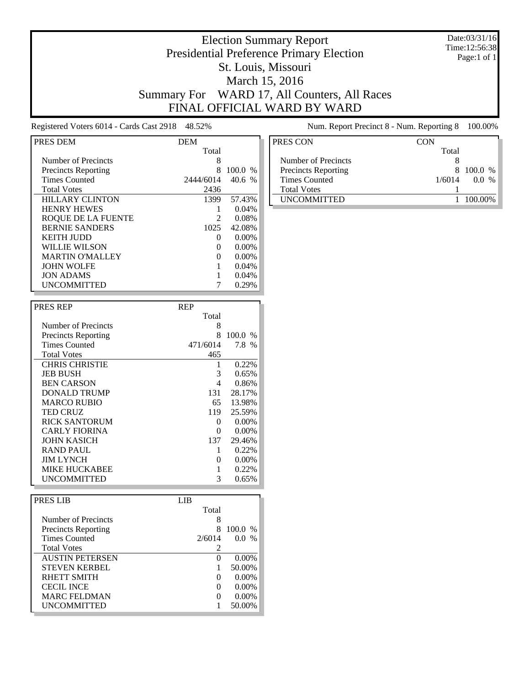#### Date:03/31/16 Time:12:56:38 Page:1 of 1

# Election Summary Report Presidential Preference Primary Election St. Louis, Missouri March 15, 2016 Summary For WARD 17, All Counters, All Races FINAL OFFICIAL WARD BY WARD

Registered Voters 6014 - Cards Cast 2918 48.52% Num. Report Precinct 8 - Num. Reporting 8 100.00%

| PRES DEM                   | <b>DEM</b> |          |
|----------------------------|------------|----------|
|                            | Total      |          |
| Number of Precincts        | 8          |          |
| <b>Precincts Reporting</b> | 8          | 100.0 %  |
| <b>Times Counted</b>       | 2444/6014  | 40.6 %   |
| <b>Total Votes</b>         | 2436       |          |
| <b>HILLARY CLINTON</b>     | 1399       | 57.43%   |
| <b>HENRY HEWES</b>         |            | 0.04%    |
| ROOUE DE LA FUENTE         | 2          | 0.08%    |
| <b>BERNIE SANDERS</b>      | 1025       | 42.08%   |
| KEITH IUDD                 | $_{0}$     | $0.00\%$ |
| WILLIE WILSON              |            | $0.00\%$ |
| <b>MARTIN O'MALLEY</b>     |            | $0.00\%$ |
| <b>JOHN WOLFE</b>          |            | 0.04%    |
| <b>JON ADAMS</b>           |            | 0.04%    |
| <b>UNCOMMITTED</b>         |            | 0.29%    |

| <b>PRES REP</b>            | <b>REP</b> |               |
|----------------------------|------------|---------------|
|                            | Total      |               |
| Number of Precincts        | 8          |               |
| <b>Precincts Reporting</b> | 8          | 100.0<br>$\%$ |
| <b>Times Counted</b>       | 471/6014   | 7.8 %         |
| <b>Total Votes</b>         | 465        |               |
| <b>CHRIS CHRISTIE</b>      | 1          | 0.22%         |
| <b>JEB BUSH</b>            | 3          | 0.65%         |
| <b>BEN CARSON</b>          | 4          | 0.86%         |
| DONALD TRUMP               | 131        | 28.17%        |
| <b>MARCO RUBIO</b>         | 65         | 13.98%        |
| <b>TED CRUZ</b>            | 119        | 25.59%        |
| <b>RICK SANTORUM</b>       | 0          | $0.00\%$      |
| <b>CARLY FIORINA</b>       | 0          | $0.00\%$      |
| JOHN KASICH                | 137        | 29.46%        |
| <b>RAND PAUL</b>           | 1          | 0.22%         |
| <b>JIM LYNCH</b>           | 0          | $0.00\%$      |
| <b>MIKE HUCKABEE</b>       |            | 0.22%         |
| UNCOMMITTED                | 3          | 0.65%         |

| PRES LIB                   | LIB      |           |
|----------------------------|----------|-----------|
|                            | Total    |           |
| Number of Precincts        | 8        |           |
| <b>Precincts Reporting</b> | 8        | $100.0\%$ |
| <b>Times Counted</b>       | 2/6014   | $0.0\%$   |
| <b>Total Votes</b>         | 2        |           |
| <b>AUSTIN PETERSEN</b>     | $\Omega$ | $0.00\%$  |
| <b>STEVEN KERBEL</b>       |          | 50.00%    |
| RHETT SMITH                | $\Omega$ | $0.00\%$  |
| <b>CECIL INCE</b>          | $\Omega$ | $0.00\%$  |
| <b>MARC FELDMAN</b>        | $\Omega$ | $0.00\%$  |
| <b>UNCOMMITTED</b>         |          | 50.00%    |

| PRES CON                   | CON    |         |
|----------------------------|--------|---------|
|                            | Total  |         |
| Number of Precincts        |        |         |
| <b>Precincts Reporting</b> | x      | 100.0 % |
| <b>Times Counted</b>       | 1/6014 | $\%$    |
| <b>Total Votes</b>         |        |         |
| <b>IINCOMMITTED</b>        |        | 100.00% |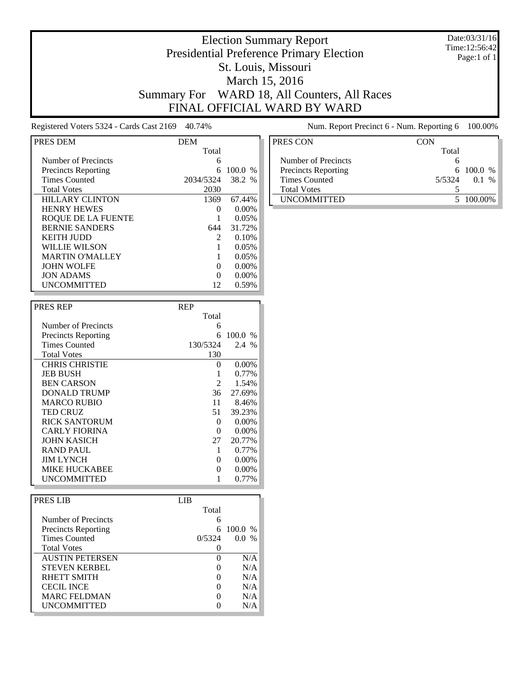#### Date:03/31/16 Time:12:56:42 Page:1 of 1

# Election Summary Report Presidential Preference Primary Election St. Louis, Missouri March 15, 2016 Summary For WARD 18, All Counters, All Races FINAL OFFICIAL WARD BY WARD

Registered Voters 5324 - Cards Cast 2169 40.74% Num. Report Precinct 6 - Num. Reporting 6 100.00%

| PRES DEM                   | <b>DEM</b> |               |
|----------------------------|------------|---------------|
|                            | Total      |               |
| Number of Precincts        | 6          |               |
| <b>Precincts Reporting</b> |            | 100.0<br>$\%$ |
| <b>Times Counted</b>       | 2034/5324  | 38.2 %        |
| <b>Total Votes</b>         | 2030       |               |
| <b>HILLARY CLINTON</b>     | 1369       | 67.44%        |
| <b>HENRY HEWES</b>         | $\Omega$   | $0.00\%$      |
| ROOUE DE LA FUENTE         |            | 0.05%         |
| <b>BERNIE SANDERS</b>      | 644        | 31.72%        |
| KEITH IUDD                 | 2          | 0.10%         |
| WILLIE WILSON              |            | 0.05%         |
| <b>MARTIN O'MALLEY</b>     |            | 0.05%         |
| <b>JOHN WOLFE</b>          | $\Omega$   | $0.00\%$      |
| <b>JON ADAMS</b>           |            | $0.00\%$      |
| <b>UNCOMMITTED</b>         | 12         | 0.59%         |

| <b>PRES REP</b>            | <b>REP</b>    |               |
|----------------------------|---------------|---------------|
|                            | Total         |               |
| Number of Precincts        | 6             |               |
| <b>Precincts Reporting</b> | 6             | 100.0<br>$\%$ |
| <b>Times Counted</b>       | 130/5324      | 2.4 %         |
| <b>Total Votes</b>         | 130           |               |
| <b>CHRIS CHRISTIE</b>      | $\Omega$      | 0.00%         |
| <b>JEB BUSH</b>            |               | 0.77%         |
| <b>BEN CARSON</b>          | $\mathcal{L}$ | 1.54%         |
| DONALD TRUMP               | 36            | 27.69%        |
| <b>MARCO RUBIO</b>         | 11            | 8.46%         |
| <b>TED CRUZ</b>            | 51            | 39.23%        |
| <b>RICK SANTORUM</b>       | 0             | 0.00%         |
| <b>CARLY FIORINA</b>       | 0             | 0.00%         |
| <b>JOHN KASICH</b>         | 27            | 20.77%        |
| <b>RAND PAUL</b>           |               | 0.77%         |
| <b>JIM LYNCH</b>           | 0             | 0.00%         |
| MIKE HUCKABEE              | 0             | $0.00\%$      |
| UNCOMMITTED                |               | 0.77%         |

| PRES LIB                   | LIB    |         |
|----------------------------|--------|---------|
|                            | Total  |         |
| Number of Precincts        | 6      |         |
| <b>Precincts Reporting</b> | 6      | 100.0 % |
| <b>Times Counted</b>       | 0/5324 | $0.0\%$ |
| <b>Total Votes</b>         |        |         |
| <b>AUSTIN PETERSEN</b>     |        | N/A     |
| <b>STEVEN KERBEL</b>       |        | N/A     |
| RHETT SMITH                |        | N/A     |
| <b>CECIL INCE</b>          |        | N/A     |
| <b>MARC FELDMAN</b>        |        | N/A     |
| <b>UNCOMMITTED</b>         |        | N/A     |

| PRES CON                   | CON              |
|----------------------------|------------------|
|                            | Total            |
| Number of Precincts        |                  |
| <b>Precincts Reporting</b> | $6\ 100.0\ %$    |
| <b>Times Counted</b>       | 5/5324<br>$01\%$ |
| <b>Total Votes</b>         |                  |
| <b>UNCOMMITTED</b>         | 5 100 00%        |
|                            |                  |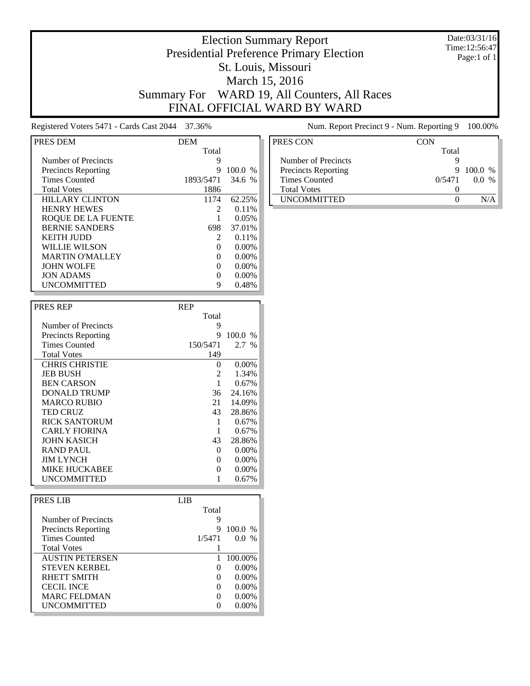#### Date:03/31/16 Time:12:56:47 Page:1 of 1

# Election Summary Report Presidential Preference Primary Election St. Louis, Missouri March 15, 2016 Summary For WARD 19, All Counters, All Races FINAL OFFICIAL WARD BY WARD

Registered Voters 5471 - Cards Cast 2044 37.36% Num. Report Precinct 9 - Num. Reporting 9 100.00%

| PRES DEM                   | <b>DEM</b>                  |          |
|----------------------------|-----------------------------|----------|
|                            | Total                       |          |
| Number of Precincts        | 9                           |          |
| <b>Precincts Reporting</b> | 9                           | 100.0%   |
| <b>Times Counted</b>       | 1893/5471                   | 34.6%    |
| <b>Total Votes</b>         | 1886                        |          |
| <b>HILLARY CLINTON</b>     | 1174                        | 62.25%   |
| <b>HENRY HEWES</b>         | $\mathcal{D}_{\mathcal{L}}$ | 0.11%    |
| ROQUE DE LA FUENTE         |                             | 0.05%    |
| <b>BERNIE SANDERS</b>      | 698                         | 37.01%   |
| <b>KEITH JUDD</b>          | $\mathcal{D}_{\mathcal{L}}$ | 0.11%    |
| WILLIE WILSON              | $\Omega$                    | $0.00\%$ |
| <b>MARTIN O'MALLEY</b>     | 0                           | $0.00\%$ |
| <b>JOHN WOLFE</b>          | 0                           | $0.00\%$ |
| <b>JON ADAMS</b>           |                             | 0.00%    |
| <b>UNCOMMITTED</b>         | 9                           | 0.48%    |

| <b>PRES REP</b>            | <b>REP</b> |          |
|----------------------------|------------|----------|
|                            | Total      |          |
| Number of Precincts        | 9          |          |
| <b>Precincts Reporting</b> | 9          | 100.0 %  |
| <b>Times Counted</b>       | 150/5471   | $2.7\%$  |
| <b>Total Votes</b>         | 149        |          |
| <b>CHRIS CHRISTIE</b>      | $\Omega$   | 0.00%    |
| <b>JEB BUSH</b>            | 2          | 1.34%    |
| <b>BEN CARSON</b>          |            | 0.67%    |
| DONALD TRUMP               | 36         | 24.16%   |
| <b>MARCO RUBIO</b>         | 21         | 14.09%   |
| <b>TED CRUZ</b>            | 43         | 28.86%   |
| <b>RICK SANTORUM</b>       | 1          | 0.67%    |
| <b>CARLY FIORINA</b>       |            | 0.67%    |
| <b>JOHN KASICH</b>         | 43         | 28.86%   |
| <b>RAND PAUL</b>           | $\Omega$   | 0.00%    |
| <b>JIM LYNCH</b>           | 0          | $0.00\%$ |
| MIKE HUCKABEE              | 0          | 0.00%    |
| UNCOMMITTED                |            | 0.67%    |

| PRES LIB                   | LIB. |          |           |  |
|----------------------------|------|----------|-----------|--|
|                            |      | Total    |           |  |
| Number of Precincts        |      | 9        |           |  |
| <b>Precincts Reporting</b> |      | 9        | $100.0\%$ |  |
| <b>Times Counted</b>       |      | 1/5471   | $0.0\%$   |  |
| <b>Total Votes</b>         |      |          |           |  |
| <b>AUSTIN PETERSEN</b>     |      |          | 100.00%   |  |
| <b>STEVEN KERBEL</b>       |      | $\Omega$ | $0.00\%$  |  |
| RHETT SMITH                |      | $\Omega$ | $0.00\%$  |  |
| <b>CECIL INCE</b>          |      | $\Omega$ | $0.00\%$  |  |
| <b>MARC FELDMAN</b>        |      | $\Omega$ | $0.00\%$  |  |
| <b>UNCOMMITTED</b>         |      |          | $0.00\%$  |  |

| CON |       |                           |
|-----|-------|---------------------------|
|     |       |                           |
|     |       |                           |
|     |       |                           |
|     |       |                           |
|     |       |                           |
|     |       |                           |
|     |       |                           |
|     | Total | 9100.0%<br>0/5471<br>00 % |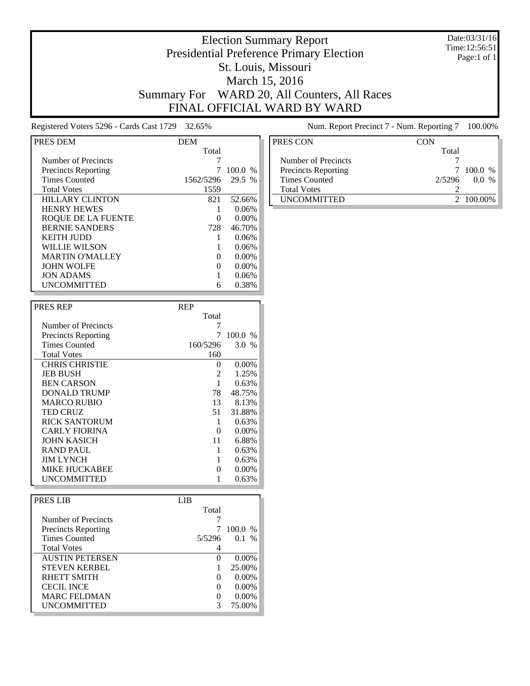#### Date:03/31/16 Time:12:56:51 Page:1 of 1

# Election Summary Report Presidential Preference Primary Election St. Louis, Missouri March 15, 2016 Summary For WARD 20, All Counters, All Races FINAL OFFICIAL WARD BY WARD

Registered Voters 5296 - Cards Cast 1729 32.65% Num. Report Precinct 7 - Num. Reporting 7 100.00%

| PRES DEM                   | <b>DEM</b>   |               |
|----------------------------|--------------|---------------|
|                            | Total        |               |
| Number of Precincts        |              |               |
| <b>Precincts Reporting</b> |              | 100.0<br>$\%$ |
| <b>Times Counted</b>       | 1562/5296    | 29.5 %        |
| <b>Total Votes</b>         | 1559         |               |
| <b>HILLARY CLINTON</b>     | 821          | 52.66%        |
| <b>HENRY HEWES</b>         |              | 0.06%         |
| <b>ROQUE DE LA FUENTE</b>  |              | 0.00%         |
| <b>BERNIE SANDERS</b>      | 728          | 46.70%        |
| KEITH IUDD                 |              | 0.06%         |
| WILLIE WILSON              |              | 0.06%         |
| <b>MARTIN O'MALLEY</b>     | $\mathbf{0}$ | 0.00%         |
| <b>JOHN WOLFE</b>          | $\mathbf{0}$ | $0.00\%$      |
| <b>JON ADAMS</b>           |              | 0.06%         |
| UNCOMMITTED                | 6            | 0.38%         |

| <b>PRES REP</b>            | <b>REP</b> |          |
|----------------------------|------------|----------|
|                            | Total      |          |
| Number of Precincts        |            |          |
| <b>Precincts Reporting</b> | 7          | 100.0%   |
| <b>Times Counted</b>       | 160/5296   | 3.0 %    |
| <b>Total Votes</b>         | 160        |          |
| <b>CHRIS CHRISTIE</b>      | $\Omega$   | $0.00\%$ |
| <b>JEB BUSH</b>            | 2          | 1.25%    |
| <b>BEN CARSON</b>          |            | 0.63%    |
| DONALD TRUMP               | 78         | 48.75%   |
| <b>MARCO RUBIO</b>         | 13         | 8.13%    |
| <b>TED CRUZ</b>            | 51         | 31.88%   |
| <b>RICK SANTORUM</b>       | 1          | 0.63%    |
| <b>CARLY FIORINA</b>       | 0          | $0.00\%$ |
| JOHN KASICH                | 11         | 6.88%    |
| <b>RAND PAUL</b>           | 1          | 0.63%    |
| <b>JIM LYNCH</b>           | 1          | 0.63%    |
| MIKE HUCKABEE              | 0          | $0.00\%$ |
| UNCOMMITTED                |            | 0.63%    |

| PRES LIB                   | LIB               |           |  |
|----------------------------|-------------------|-----------|--|
|                            | Total             |           |  |
| Number of Precincts        |                   |           |  |
| <b>Precincts Reporting</b> |                   | $100.0\%$ |  |
| <b>Times Counted</b>       | 5/5296            | 0.1 %     |  |
| <b>Total Votes</b>         |                   |           |  |
| <b>AUSTIN PETERSEN</b>     | $\mathbf{0}$      | $0.00\%$  |  |
| <b>STEVEN KERBEL</b>       |                   | 25.00%    |  |
| RHETT SMITH                | $\Omega$          | $0.00\%$  |  |
| <b>CECIL INCE</b>          | $\mathbf{\Omega}$ | $0.00\%$  |  |
| <b>MARC FELDMAN</b>        | 0                 | $0.00\%$  |  |
| <b>UNCOMMITTED</b>         | 3                 | 75.00%    |  |

| PRES CON                   | CON    |           |
|----------------------------|--------|-----------|
|                            | Total  |           |
| Number of Precincts        |        |           |
| <b>Precincts Reporting</b> |        | 7 100.0 % |
| Times Counted              | 2/5296 | $0.0\%$   |
| <b>Total Votes</b>         |        |           |
| <b>UNCOMMITTED</b>         |        | 2 100 00% |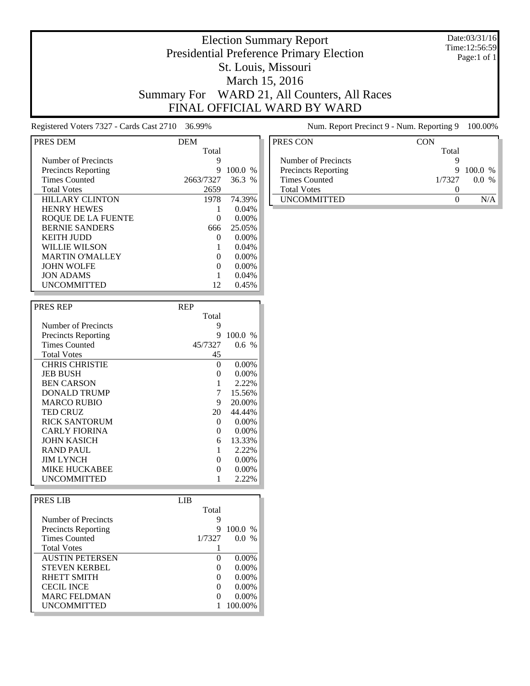#### Date:03/31/16 Time:12:56:59 Page:1 of 1

# Election Summary Report Presidential Preference Primary Election St. Louis, Missouri March 15, 2016 Summary For WARD 21, All Counters, All Races FINAL OFFICIAL WARD BY WARD

Registered Voters 7327 - Cards Cast 2710 36.99% Num. Report Precinct 9 - Num. Reporting 9 100.00%

| PRES DEM                   | <b>DEM</b> |          |
|----------------------------|------------|----------|
|                            | Total      |          |
| Number of Precincts        | 9          |          |
| <b>Precincts Reporting</b> | 9          | 100.0 %  |
| <b>Times Counted</b>       | 2663/7327  | 36.3%    |
| <b>Total Votes</b>         | 2659       |          |
| <b>HILLARY CLINTON</b>     | 1978       | 74.39%   |
| <b>HENRY HEWES</b>         |            | 0.04%    |
| ROOUE DE LA FUENTE         | 0          | $0.00\%$ |
| <b>BERNIE SANDERS</b>      | 666        | 25.05%   |
| KEITH IUDD                 | $\Omega$   | $0.00\%$ |
| WILLIE WILSON              |            | 0.04%    |
| <b>MARTIN O'MALLEY</b>     | $\Omega$   | $0.00\%$ |
| <b>JOHN WOLFE</b>          | $\Omega$   | $0.00\%$ |
| <b>JON ADAMS</b>           |            | 0.04%    |
| <b>UNCOMMITTED</b>         | 12         | 0.45%    |

| <b>PRES REP</b>            | <b>REP</b> |          |
|----------------------------|------------|----------|
|                            | Total      |          |
| Number of Precincts        | 9          |          |
| <b>Precincts Reporting</b> | 9          | 100.0 %  |
| <b>Times Counted</b>       | 45/7327    | 0.6 %    |
| <b>Total Votes</b>         | 45         |          |
| <b>CHRIS CHRISTIE</b>      | $\Omega$   | 0.00%    |
| <b>JEB BUSH</b>            | 0          | $0.00\%$ |
| <b>BEN CARSON</b>          |            | 2.22%    |
| DONALD TRUMP               | 7          | 15.56%   |
| <b>MARCO RUBIO</b>         | 9          | 20.00%   |
| <b>TED CRUZ</b>            | 20         | 44.44%   |
| <b>RICK SANTORUM</b>       | 0          | 0.00%    |
| <b>CARLY FIORINA</b>       | 0          | $0.00\%$ |
| <b>JOHN KASICH</b>         | 6          | 13.33%   |
| <b>RAND PAUL</b>           |            | 2.22%    |
| <b>JIM LYNCH</b>           | 0          | 0.00%    |
| <b>MIKE HUCKABEE</b>       | 0          | $0.00\%$ |
| UNCOMMITTED                |            | 2.22%    |

| PRES LIB                   | LIB |                   |           |  |
|----------------------------|-----|-------------------|-----------|--|
|                            |     | Total             |           |  |
| Number of Precincts        |     | 9                 |           |  |
| <b>Precincts Reporting</b> |     | 9                 | $100.0\%$ |  |
| <b>Times Counted</b>       |     | 1/7327            | $0.0\%$   |  |
| <b>Total Votes</b>         |     |                   |           |  |
| <b>AUSTIN PETERSEN</b>     |     | $\Omega$          | $0.00\%$  |  |
| <b>STEVEN KERBEL</b>       |     | $\Omega$          | $0.00\%$  |  |
| RHETT SMITH                |     | $\Omega$          | $0.00\%$  |  |
| <b>CECIL INCE</b>          |     | $\Omega$          | $0.00\%$  |  |
| <b>MARC FELDMAN</b>        |     | $\mathbf{\Omega}$ | $0.00\%$  |  |
| <b>UNCOMMITTED</b>         |     |                   | 100.00%   |  |

| PRES CON                   | CON    |         |
|----------------------------|--------|---------|
|                            | Total  |         |
| Number of Precincts        |        |         |
| <b>Precincts Reporting</b> | 9      | 100.0 % |
| <b>Times Counted</b>       | 1/7327 | $0.0\%$ |
| <b>Total Votes</b>         |        |         |
| <b>UNCOMMITTED</b>         |        |         |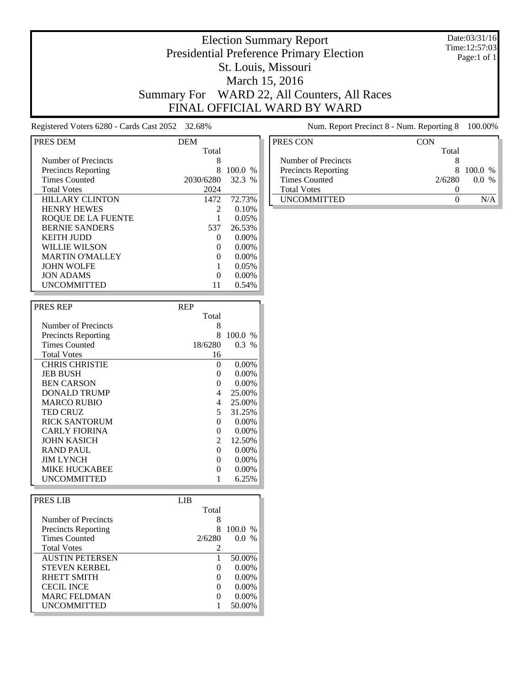#### Date:03/31/16 Time:12:57:03 Page:1 of 1

### Election Summary Report Presidential Preference Primary Election St. Louis, Missouri March 15, 2016 Summary For WARD 22, All Counters, All Races FINAL OFFICIAL WARD BY WARD

Registered Voters 6280 - Cards Cast 2052 32.68% Num. Report Precinct 8 - Num. Reporting 8 100.00%

| PRES DEM                   | <b>DEM</b>                  |          |
|----------------------------|-----------------------------|----------|
|                            | Total                       |          |
| Number of Precincts        | 8                           |          |
| <b>Precincts Reporting</b> | 8                           | 100.0 %  |
| <b>Times Counted</b>       | 2030/6280                   | 32.3%    |
| <b>Total Votes</b>         | 2024                        |          |
| <b>HILLARY CLINTON</b>     | 1472                        | 72.73%   |
| <b>HENRY HEWES</b>         | $\mathcal{D}_{\mathcal{L}}$ | 0.10%    |
| <b>ROQUE DE LA FUENTE</b>  |                             | 0.05%    |
| <b>BERNIE SANDERS</b>      | 537                         | 26.53%   |
| KEITH IUDD                 | $\Omega$                    | $0.00\%$ |
| WILLIE WILSON              |                             | 0.00%    |
| <b>MARTIN O'MALLEY</b>     |                             | $0.00\%$ |
| <b>JOHN WOLFE</b>          |                             | 0.05%    |
| <b>JON ADAMS</b>           |                             | $0.00\%$ |
| <b>UNCOMMITTED</b>         |                             | 0.54%    |

| <b>PRES REP</b>            | <b>REP</b> |          |
|----------------------------|------------|----------|
|                            | Total      |          |
| Number of Precincts        | 8          |          |
| <b>Precincts Reporting</b> | 8          | 100.0 %  |
| <b>Times Counted</b>       | 18/6280    | $0.3\%$  |
| <b>Total Votes</b>         | 16         |          |
| <b>CHRIS CHRISTIE</b>      | $\Omega$   | $0.00\%$ |
| <b>JEB BUSH</b>            | 0          | $0.00\%$ |
| <b>BEN CARSON</b>          | 0          | $0.00\%$ |
| DONALD TRUMP               | 4          | 25.00%   |
| <b>MARCO RUBIO</b>         | 4          | 25.00%   |
| <b>TED CRUZ</b>            | 5          | 31.25%   |
| <b>RICK SANTORUM</b>       | 0          | $0.00\%$ |
| CARLY FIORINA              | 0          | $0.00\%$ |
| <b>JOHN KASICH</b>         | 2          | 12.50%   |
| <b>RAND PAUL</b>           | $\Omega$   | $0.00\%$ |
| <b>JIM LYNCH</b>           | 0          | $0.00\%$ |
| <b>MIKE HUCKABEE</b>       | 0          | $0.00\%$ |
| UNCOMMITTED                |            | 6.25%    |

| PRES LIB                   | LIB               |           |
|----------------------------|-------------------|-----------|
|                            | Total             |           |
| Number of Precincts        | 8                 |           |
| <b>Precincts Reporting</b> | 8                 | $100.0\%$ |
| <b>Times Counted</b>       | 2/6280            | $0.0\%$   |
| <b>Total Votes</b>         | 2                 |           |
| <b>AUSTIN PETERSEN</b>     |                   | 50.00%    |
| <b>STEVEN KERBEL</b>       | $\mathbf{\Omega}$ | $0.00\%$  |
| RHETT SMITH                | $\Omega$          | $0.00\%$  |
| <b>CECIL INCE</b>          | $\Omega$          | $0.00\%$  |
| <b>MARC FELDMAN</b>        | $\mathbf{\Omega}$ | $0.00\%$  |
| <b>UNCOMMITTED</b>         |                   | 50.00%    |

| PRES CON                   | <b>CON</b> |           |
|----------------------------|------------|-----------|
|                            | Total      |           |
| Number of Precincts        |            |           |
| <b>Precincts Reporting</b> | 8          | $100.0\%$ |
| <b>Times Counted</b>       | 2/6280     | $0.0\%$   |
| <b>Total Votes</b>         |            |           |
| <b>UNCOMMITTED</b>         |            |           |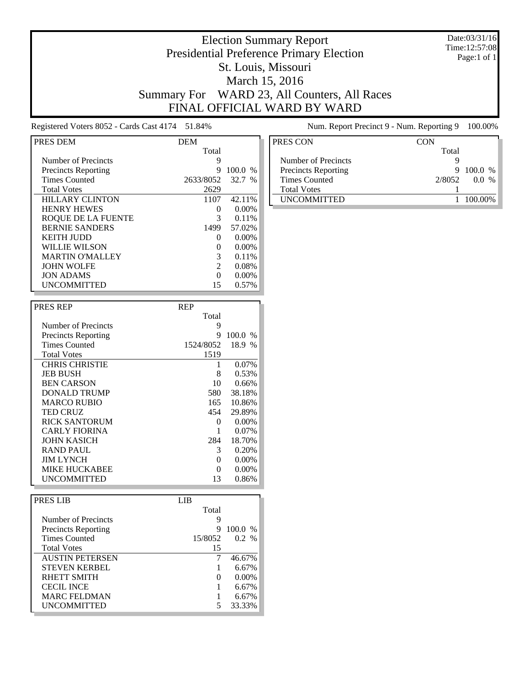#### Date:03/31/16 Time:12:57:08 Page:1 of 1

# Election Summary Report Presidential Preference Primary Election St. Louis, Missouri March 15, 2016 Summary For WARD 23, All Counters, All Races FINAL OFFICIAL WARD BY WARD

Registered Voters 8052 - Cards Cast 4174 51.84% Num. Report Precinct 9 - Num. Reporting 9 100.00%

| PRES DEM                   | <b>DEM</b>        |          |
|----------------------------|-------------------|----------|
|                            | Total             |          |
| Number of Precincts        | 9                 |          |
| <b>Precincts Reporting</b> | 9                 | 100.0 %  |
| <b>Times Counted</b>       | 2633/8052         | 32.7 %   |
| <b>Total Votes</b>         | 2629              |          |
| <b>HILLARY CLINTON</b>     | 1107              | 42.11%   |
| <b>HENRY HEWES</b>         | $_{0}$            | $0.00\%$ |
| ROQUE DE LA FUENTE         | 3                 | 0.11%    |
| <b>BERNIE SANDERS</b>      | 1499              | 57.02%   |
| KEITH IUDD                 | $\Omega$          | $0.00\%$ |
| WILLIE WILSON              | $\mathbf{\Omega}$ | $0.00\%$ |
| <b>MARTIN O'MALLEY</b>     | 3                 | 0.11%    |
| <b>JOHN WOLFE</b>          | 2                 | 0.08%    |
| <b>JON ADAMS</b>           | 0                 | $0.00\%$ |
| <b>UNCOMMITTED</b>         | 15                | 0.57%    |

| <b>PRES REP</b>            | <b>REP</b> |          |
|----------------------------|------------|----------|
|                            | Total      |          |
| Number of Precincts        | 9          |          |
| <b>Precincts Reporting</b> | 9          | 100.0%   |
| <b>Times Counted</b>       | 1524/8052  | 18.9 %   |
| <b>Total Votes</b>         | 1519       |          |
| <b>CHRIS CHRISTIE</b>      | 1          | $0.07\%$ |
| <b>JEB BUSH</b>            | 8          | 0.53%    |
| <b>BEN CARSON</b>          | 10         | 0.66%    |
| DONALD TRUMP               | 580        | 38.18%   |
| <b>MARCO RUBIO</b>         | 165        | 10.86%   |
| <b>TED CRUZ</b>            | 454        | 29.89%   |
| <b>RICK SANTORUM</b>       | 0          | 0.00%    |
| <b>CARLY FIORINA</b>       |            | $0.07\%$ |
| <b>JOHN KASICH</b>         | 284        | 18.70%   |
| <b>RAND PAUL</b>           | 3          | 0.20%    |
| <b>JIM LYNCH</b>           | 0          | 0.00%    |
| <b>MIKE HUCKABEE</b>       | 0          | 0.00%    |
| UNCOMMITTED                | 13         | 0.86%    |

| PRES LIB                   | LIB.              |          |
|----------------------------|-------------------|----------|
|                            | Total             |          |
| Number of Precincts        | 9                 |          |
| <b>Precincts Reporting</b> | 9                 | 100.0 %  |
| <b>Times Counted</b>       | 15/8052           | 0.2 %    |
| <b>Total Votes</b>         | 15                |          |
| <b>AUSTIN PETERSEN</b>     |                   | 46.67%   |
| <b>STEVEN KERBEL</b>       |                   | 6.67%    |
| RHETT SMITH                | $\mathbf{\Omega}$ | $0.00\%$ |
| <b>CECIL INCE</b>          |                   | 6.67%    |
| <b>MARC FELDMAN</b>        |                   | 6.67%    |
| <b>UNCOMMITTED</b>         |                   | 33.33%   |

| PRES CON                   | CON    |                     |
|----------------------------|--------|---------------------|
|                            | Total  |                     |
| Number of Precincts        |        |                     |
| <b>Precincts Reporting</b> | 9      | $100.0\%$           |
| Times Counted              | 2/8052 | 00<br>$\frac{0}{6}$ |
| <b>Total Votes</b>         |        |                     |
| <b>UNCOMMITTED</b>         |        | 100.00%             |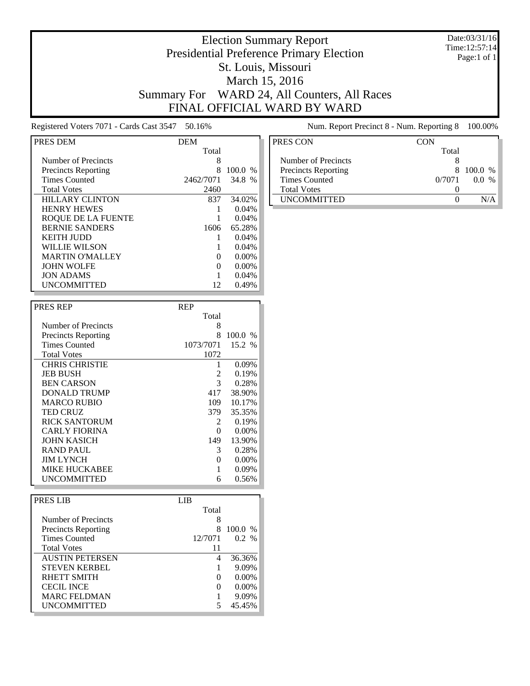#### Date:03/31/16 Time:12:57:14 Page:1 of 1

# Election Summary Report Presidential Preference Primary Election St. Louis, Missouri March 15, 2016 Summary For WARD 24, All Counters, All Races FINAL OFFICIAL WARD BY WARD

Registered Voters 7071 - Cards Cast 3547 50.16% Num. Report Precinct 8 - Num. Reporting 8 100.00%

| PRES DEM                   | <b>DEM</b> |                        |
|----------------------------|------------|------------------------|
|                            | Total      |                        |
| Number of Precincts        | 8          |                        |
| <b>Precincts Reporting</b> | 8          | 100.0<br>$\frac{0}{6}$ |
| <b>Times Counted</b>       | 2462/7071  | 34.8%                  |
| <b>Total Votes</b>         | 2460       |                        |
| <b>HILLARY CLINTON</b>     | 837        | 34.02%                 |
| <b>HENRY HEWES</b>         |            | 0.04%                  |
| ROOUE DE LA FUENTE         |            | 0.04%                  |
| <b>BERNIE SANDERS</b>      | 1606       | 65.28%                 |
| <b>KEITH JUDD</b>          |            | 0.04%                  |
| WILLIE WILSON              |            | 0.04%                  |
| <b>MARTIN O'MALLEY</b>     | $\Omega$   | $0.00\%$               |
| <b>JOHN WOLFE</b>          |            | 0.00%                  |
| <b>JON ADAMS</b>           |            | 0.04%                  |
| <b>UNCOMMITTED</b>         | 12         | 0.49%                  |

| <b>PRES REP</b>            | <b>REP</b> |          |
|----------------------------|------------|----------|
|                            | Total      |          |
| Number of Precincts        | 8          |          |
| <b>Precincts Reporting</b> | 8          | 100.0 %  |
| <b>Times Counted</b>       | 1073/7071  | 15.2 %   |
| <b>Total Votes</b>         | 1072       |          |
| <b>CHRIS CHRISTIE</b>      |            | $0.09\%$ |
| <b>JEB BUSH</b>            | 2          | 0.19%    |
| <b>BEN CARSON</b>          | 3          | 0.28%    |
| DONALD TRUMP               | 417        | 38.90%   |
| <b>MARCO RUBIO</b>         | 109        | 10.17%   |
| <b>TED CRUZ</b>            | 379        | 35.35%   |
| <b>RICK SANTORUM</b>       | 2          | 0.19%    |
| <b>CARLY FIORINA</b>       | 0          | 0.00%    |
| <b>JOHN KASICH</b>         | 149        | 13.90%   |
| <b>RAND PAUL</b>           | 3          | 0.28%    |
| <b>JIM LYNCH</b>           | 0          | 0.00%    |
| <b>MIKE HUCKABEE</b>       |            | 0.09%    |
| UNCOMMITTED                | 6          | 0.56%    |

| PRES LIB                   | LIB               |           |
|----------------------------|-------------------|-----------|
|                            | Total             |           |
| Number of Precincts        | 8                 |           |
| <b>Precincts Reporting</b> | 8                 | $100.0\%$ |
| <b>Times Counted</b>       | 12/7071           | 0.2 %     |
| <b>Total Votes</b>         | 11                |           |
| <b>AUSTIN PETERSEN</b>     | 4                 | 36.36%    |
| <b>STEVEN KERBEL</b>       |                   | 9.09%     |
| RHETT SMITH                | $\mathbf{\Omega}$ | $0.00\%$  |
| <b>CECIL INCE</b>          | $\mathbf{\Omega}$ | $0.00\%$  |
| <b>MARC FELDMAN</b>        |                   | 9.09%     |
| <b>UNCOMMITTED</b>         |                   | 45.45%    |

| <b>CON</b> |           |
|------------|-----------|
| Total      |           |
|            |           |
|            | 8 100.0 % |
| 0/7071     | 00 %      |
|            |           |
|            |           |
|            |           |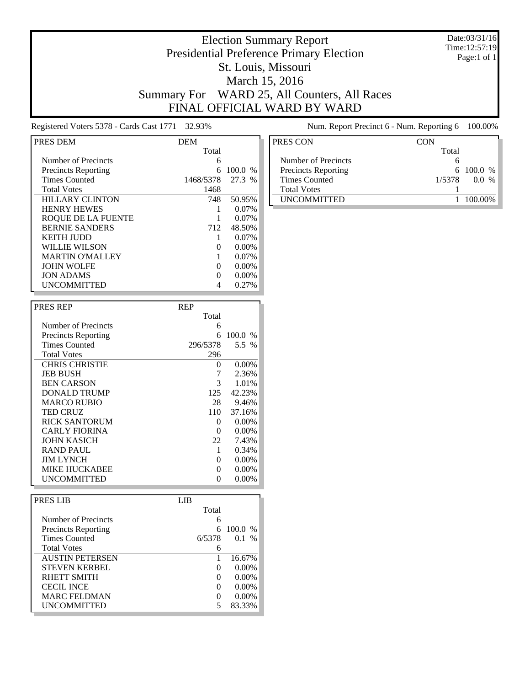#### Date:03/31/16 Time:12:57:19 Page:1 of 1

# Election Summary Report Presidential Preference Primary Election St. Louis, Missouri March 15, 2016 Summary For WARD 25, All Counters, All Races FINAL OFFICIAL WARD BY WARD

Registered Voters 5378 - Cards Cast 1771 32.93% Num. Report Precinct 6 - Num. Reporting 6 100.00%

| PRES DEM                   | <b>DEM</b> |           |
|----------------------------|------------|-----------|
|                            | Total      |           |
| Number of Precincts        | 6          |           |
| <b>Precincts Reporting</b> | 6          | $100.0\%$ |
| <b>Times Counted</b>       | 1468/5378  | 27.3 %    |
| <b>Total Votes</b>         | 1468       |           |
| <b>HILLARY CLINTON</b>     | 748        | 50.95%    |
| <b>HENRY HEWES</b>         |            | $0.07\%$  |
| ROOUE DE LA FUENTE         |            | $0.07\%$  |
| <b>BERNIE SANDERS</b>      | 712        | 48.50%    |
| <b>KEITH JUDD</b>          |            | $0.07\%$  |
| WILLIE WILSON              |            | $0.00\%$  |
| <b>MARTIN O'MALLEY</b>     |            | $0.07\%$  |
| <b>JOHN WOLFE</b>          | 0          | $0.00\%$  |
| <b>JON ADAMS</b>           |            | 0.00%     |
| <b>UNCOMMITTED</b>         |            | 0.27%     |

| <b>PRES REP</b>            | <b>REP</b> |           |
|----------------------------|------------|-----------|
|                            | Total      |           |
| Number of Precincts        | 6          |           |
| <b>Precincts Reporting</b> | 6          | $100.0\%$ |
| <b>Times Counted</b>       | 296/5378   | 5.5 %     |
| <b>Total Votes</b>         | 296        |           |
| <b>CHRIS CHRISTIE</b>      | $\Omega$   | 0.00%     |
| <b>JEB BUSH</b>            |            | 2.36%     |
| <b>BEN CARSON</b>          | 3          | 1.01%     |
| DONALD TRUMP               | 125        | 42.23%    |
| <b>MARCO RUBIO</b>         | 28         | 9.46%     |
| <b>TED CRUZ</b>            | 110        | 37.16%    |
| <b>RICK SANTORUM</b>       | 0          | 0.00%     |
| <b>CARLY FIORINA</b>       | 0          | 0.00%     |
| <b>JOHN KASICH</b>         | 22         | 7.43%     |
| <b>RAND PAUL</b>           | 1          | 0.34%     |
| <b>JIM LYNCH</b>           | 0          | 0.00%     |
| MIKE HUCKABEE              | 0          | 0.00%     |
| UNCOMMITTED                | 0          | $0.00\%$  |

| PRES LIB                   | LIB.   |                   |          |  |
|----------------------------|--------|-------------------|----------|--|
|                            | Total  |                   |          |  |
| Number of Precincts        |        | 6                 |          |  |
| <b>Precincts Reporting</b> |        | 6                 | 100.0 %  |  |
| <b>Times Counted</b>       | 6/5378 |                   | $0.1\%$  |  |
| <b>Total Votes</b>         |        | 6                 |          |  |
| <b>AUSTIN PETERSEN</b>     |        |                   | 16.67%   |  |
| <b>STEVEN KERBEL</b>       |        | $\Omega$          | $0.00\%$ |  |
| RHETT SMITH                |        | $\Omega$          | $0.00\%$ |  |
| <b>CECIL INCE</b>          |        | $\Omega$          | $0.00\%$ |  |
| <b>MARC FELDMAN</b>        |        | $\mathbf{\Omega}$ | $0.00\%$ |  |
| <b>UNCOMMITTED</b>         |        | 5                 | 83.33%   |  |

| PRES CON             | CON            |
|----------------------|----------------|
|                      | Total          |
| Number of Precincts  |                |
| Precincts Reporting  | $6\ 100.0\ %$  |
| <b>Times Counted</b> | 1/5378<br>00 % |
| <b>Total Votes</b>   |                |
| <b>UNCOMMITTED</b>   |                |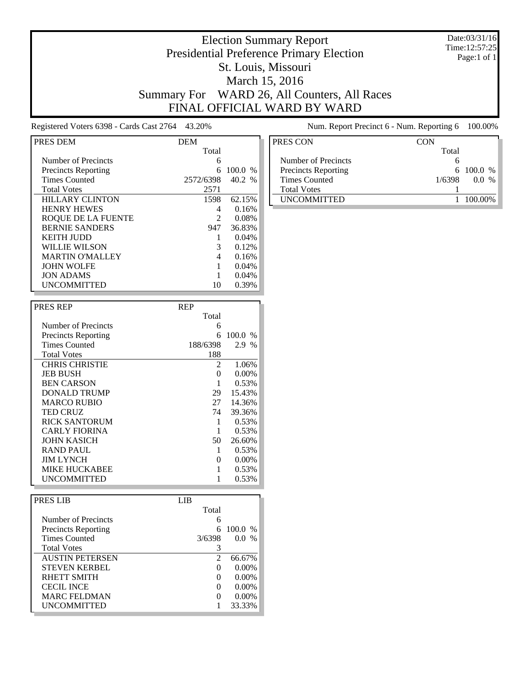#### Date:03/31/16 Time:12:57:25 Page:1 of 1

# Election Summary Report Presidential Preference Primary Election St. Louis, Missouri March 15, 2016 Summary For WARD 26, All Counters, All Races FINAL OFFICIAL WARD BY WARD

Registered Voters 6398 - Cards Cast 2764 43.20% Num. Report Precinct 6 - Num. Reporting 6 100.00%

| PRES DEM                   | DEM            |        |
|----------------------------|----------------|--------|
|                            | Total          |        |
| Number of Precincts        | 6              |        |
| <b>Precincts Reporting</b> | 6              | 100.0% |
| <b>Times Counted</b>       | 2572/6398      | 40.2 % |
| <b>Total Votes</b>         | 2571           |        |
| <b>HILLARY CLINTON</b>     | 1598           | 62.15% |
| <b>HENRY HEWES</b>         | 4              | 0.16%  |
| ROOUE DE LA FUENTE         | $\mathfrak{D}$ | 0.08%  |
| <b>BERNIE SANDERS</b>      | 947            | 36.83% |
| KEITH IUDD                 |                | 0.04%  |
| WILLIE WILSON              | 3              | 0.12%  |
| <b>MARTIN O'MALLEY</b>     | 4              | 0.16%  |
| <b>JOHN WOLFE</b>          |                | 0.04%  |
| <b>JON ADAMS</b>           |                | 0.04%  |
| <b>UNCOMMITTED</b>         | 10             | 0.39%  |

| <b>PRES REP</b>            | <b>REP</b> |         |
|----------------------------|------------|---------|
|                            | Total      |         |
| Number of Precincts        | 6          |         |
| <b>Precincts Reporting</b> | 6          | 100.0 % |
| <b>Times Counted</b>       | 188/6398   | 2.9 %   |
| <b>Total Votes</b>         | 188        |         |
| <b>CHRIS CHRISTIE</b>      | 2          | 1.06%   |
| <b>JEB BUSH</b>            | 0          | 0.00%   |
| <b>BEN CARSON</b>          |            | 0.53%   |
| DONALD TRUMP               | 29         | 15.43%  |
| <b>MARCO RUBIO</b>         | 27         | 14.36%  |
| <b>TED CRUZ</b>            | 74         | 39.36%  |
| RICK SANTORUM              |            | 0.53%   |
| <b>CARLY FIORINA</b>       |            | 0.53%   |
| <b>JOHN KASICH</b>         | 50         | 26.60%  |
| RAND PAUL                  | 1          | 0.53%   |
| <b>JIM LYNCH</b>           | 0          | 0.00%   |
| MIKE HUCKABEE              |            | 0.53%   |
| UNCOMMITTED                |            | 0.53%   |

| PRES LIB               | LIB          |           |
|------------------------|--------------|-----------|
|                        | Total        |           |
| Number of Precincts    | 6            |           |
| Precincts Reporting    | 6            | $100.0\%$ |
| <b>Times Counted</b>   | 3/6398       | $0.0\%$   |
| <b>Total Votes</b>     | 3            |           |
| <b>AUSTIN PETERSEN</b> | 2            | 66.67%    |
| <b>STEVEN KERBEL</b>   | $\Omega$     | $0.00\%$  |
| RHETT SMITH            | $\Omega$     | $0.00\%$  |
| <b>CECIL INCE</b>      | $\Omega$     | $0.00\%$  |
| <b>MARC FELDMAN</b>    | $\mathbf{0}$ | $0.00\%$  |
| <b>UNCOMMITTED</b>     |              | 33.33%    |

| PRES CON                   | CON    |                     |
|----------------------------|--------|---------------------|
|                            | Total  |                     |
| Number of Precincts        |        |                     |
| <b>Precincts Reporting</b> |        | $6\quad100.0\%$     |
| Times Counted              | 1/6398 | 00<br>$\frac{0}{6}$ |
| <b>Total Votes</b>         |        |                     |
| <b>IINCOMMITTED</b>        |        | 100.00%             |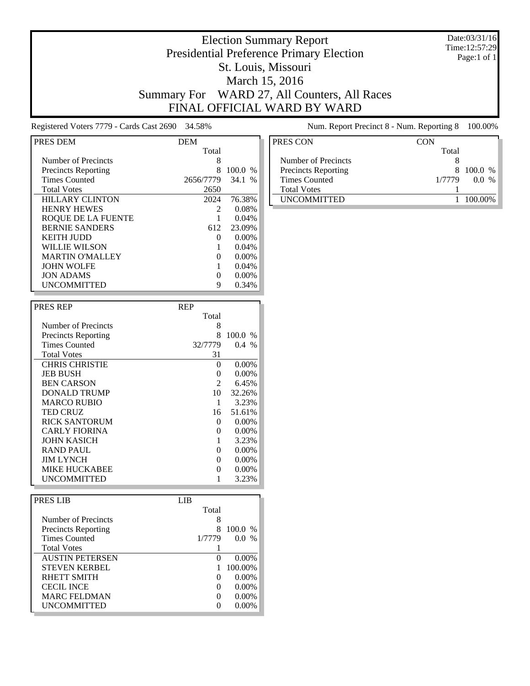#### Date:03/31/16 Time:12:57:29 Page:1 of 1

### Election Summary Report Presidential Preference Primary Election St. Louis, Missouri March 15, 2016 Summary For WARD 27, All Counters, All Races FINAL OFFICIAL WARD BY WARD

Registered Voters 7779 - Cards Cast 2690 34.58% Num. Report Precinct 8 - Num. Reporting 8 100.00%

| PRES DEM                   | <b>DEM</b>        |                       |
|----------------------------|-------------------|-----------------------|
|                            | Total             |                       |
| Number of Precincts        | 8                 |                       |
| <b>Precincts Reporting</b> | 8                 | 100.0<br>$\%$         |
| <b>Times Counted</b>       | 2656/7779         | 34.1<br>$\frac{0}{6}$ |
| <b>Total Votes</b>         | 2650              |                       |
| <b>HILLARY CLINTON</b>     | 2024              | 76.38%                |
| <b>HENRY HEWES</b>         |                   | 0.08%                 |
| ROOUE DE LA FUENTE         |                   | 0.04%                 |
| <b>BERNIE SANDERS</b>      | 612               | 23.09%                |
| KEITH IUDD                 | $\mathbf{0}$      | $0.00\%$              |
| <b>WILLIE WILSON</b>       |                   | 0.04%                 |
| <b>MARTIN O'MALLEY</b>     | $\mathbf{0}$      | $0.00\%$              |
| <b>JOHN WOLFE</b>          |                   | 0.04%                 |
| <b>JON ADAMS</b>           | $\mathbf{\Omega}$ | 0.00%                 |
| <b>UNCOMMITTED</b>         | 9                 | $0.34\%$              |

| <b>PRES REP</b>            | <b>REP</b> |          |
|----------------------------|------------|----------|
|                            | Total      |          |
| Number of Precincts        | 8          |          |
| <b>Precincts Reporting</b> | 8          | 100.0%   |
| <b>Times Counted</b>       | 32/7779    | $0.4\%$  |
| <b>Total Votes</b>         | 31         |          |
| <b>CHRIS CHRISTIE</b>      | 0          | $0.00\%$ |
| <b>JEB BUSH</b>            | 0          | $0.00\%$ |
| <b>BEN CARSON</b>          | 2          | 6.45%    |
| DONALD TRUMP               | 10         | 32.26%   |
| <b>MARCO RUBIO</b>         | 1          | 3.23%    |
| <b>TED CRUZ</b>            | 16         | 51.61%   |
| RICK SANTORUM              | 0          | $0.00\%$ |
| <b>CARLY FIORINA</b>       | $\theta$   | $0.00\%$ |
| <b>JOHN KASICH</b>         |            | 3.23%    |
| RAND PAUL                  | 0          | $0.00\%$ |
| <b>JIM LYNCH</b>           | 0          | $0.00\%$ |
| <b>MIKE HUCKABEE</b>       | 0          | $0.00\%$ |
| <b>UNCOMMITTED</b>         |            | 3.23%    |

| PRES LIB                   | LIB. |          |          |  |
|----------------------------|------|----------|----------|--|
|                            |      | Total    |          |  |
| Number of Precincts        |      | 8        |          |  |
| <b>Precincts Reporting</b> |      | 8        | 100.0 %  |  |
| <b>Times Counted</b>       |      | 1/7779   | $0.0\%$  |  |
| <b>Total Votes</b>         |      |          |          |  |
| <b>AUSTIN PETERSEN</b>     |      | 0        | $0.00\%$ |  |
| <b>STEVEN KERBEL</b>       |      |          | 100.00%  |  |
| RHETT SMITH                |      | $\Omega$ | $0.00\%$ |  |
| <b>CECIL INCE</b>          |      |          | $0.00\%$ |  |
| <b>MARC FELDMAN</b>        |      |          | $0.00\%$ |  |
| <b>UNCOMMITTED</b>         |      |          | $0.00\%$ |  |

| PRES CON                   | CON            |
|----------------------------|----------------|
|                            | Total          |
| Number of Precincts        |                |
| <b>Precincts Reporting</b> | 8 100.0 %      |
| <b>Times Counted</b>       | 1/7779<br>00 % |
| <b>Total Votes</b>         |                |
| <b>UNCOMMITTED</b>         | 100 00%        |
|                            |                |